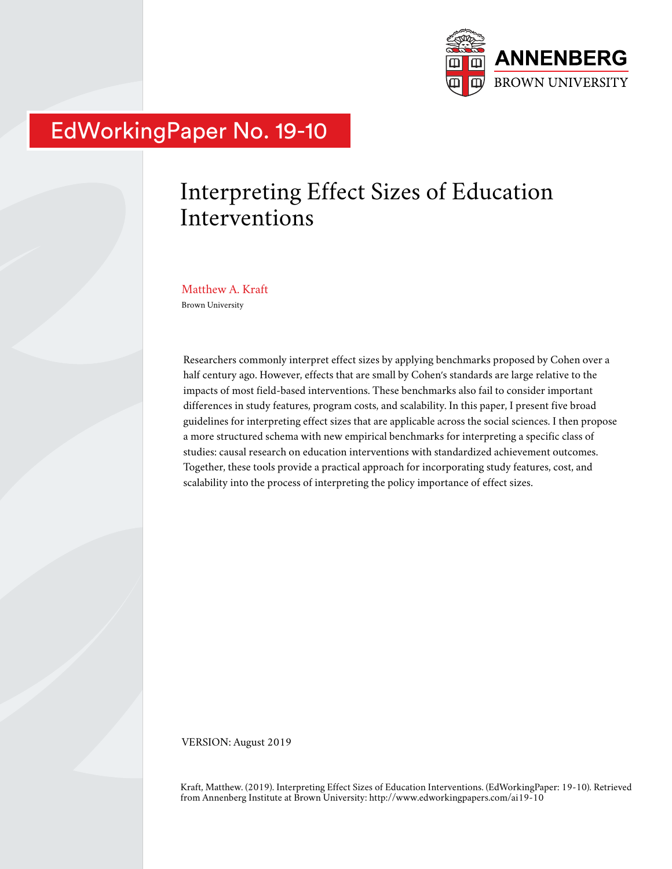

# EdWorkingPaper No. 19-10

# Interpreting Effect Sizes of Education Interventions

Matthew A. Kraft Brown University

Researchers commonly interpret effect sizes by applying benchmarks proposed by Cohen over a half century ago. However, effects that are small by Cohen's standards are large relative to the impacts of most field-based interventions. These benchmarks also fail to consider important differences in study features, program costs, and scalability. In this paper, I present five broad guidelines for interpreting effect sizes that are applicable across the social sciences. I then propose a more structured schema with new empirical benchmarks for interpreting a specific class of studies: causal research on education interventions with standardized achievement outcomes. Together, these tools provide a practical approach for incorporating study features, cost, and scalability into the process of interpreting the policy importance of effect sizes.

VERSION: August 2019

Kraft, Matthew. (2019). Interpreting Effect Sizes of Education Interventions. (EdWorkingPaper: 19-10). Retrieved from Annenberg Institute at Brown University: http://www.edworkingpapers.com/ai19-10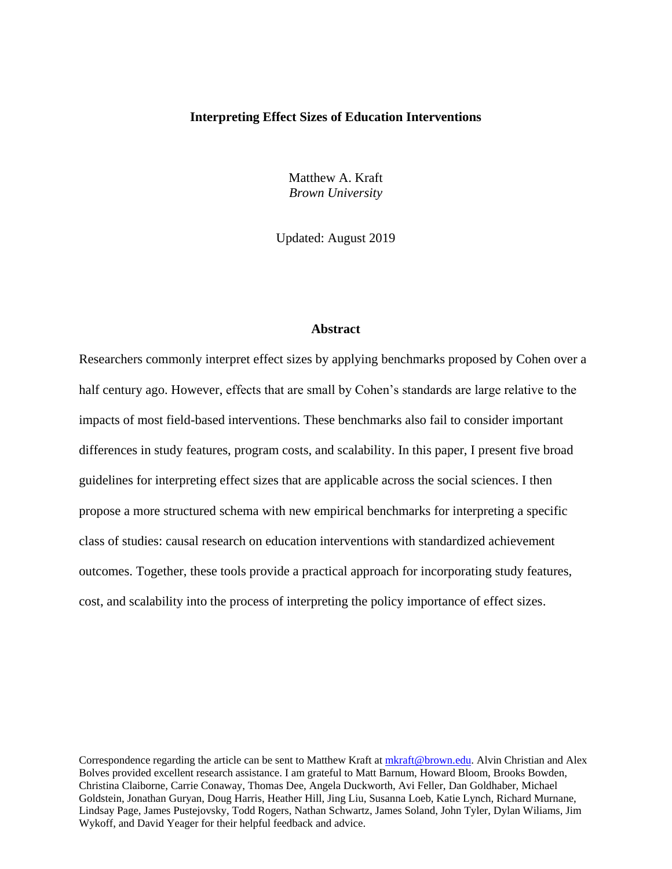#### **Interpreting Effect Sizes of Education Interventions**

Matthew A. Kraft *Brown University*

Updated: August 2019

#### **Abstract**

Researchers commonly interpret effect sizes by applying benchmarks proposed by Cohen over a half century ago. However, effects that are small by Cohen's standards are large relative to the impacts of most field-based interventions. These benchmarks also fail to consider important differences in study features, program costs, and scalability. In this paper, I present five broad guidelines for interpreting effect sizes that are applicable across the social sciences. I then propose a more structured schema with new empirical benchmarks for interpreting a specific class of studies: causal research on education interventions with standardized achievement outcomes. Together, these tools provide a practical approach for incorporating study features, cost, and scalability into the process of interpreting the policy importance of effect sizes.

Correspondence regarding the article can be sent to Matthew Kraft at [mkraft@brown.edu.](mailto:mkraft@brown.edu) Alvin Christian and Alex Bolves provided excellent research assistance. I am grateful to Matt Barnum, Howard Bloom, Brooks Bowden, Christina Claiborne, Carrie Conaway, Thomas Dee, Angela Duckworth, Avi Feller, Dan Goldhaber, Michael Goldstein, Jonathan Guryan, Doug Harris, Heather Hill, Jing Liu, Susanna Loeb, Katie Lynch, Richard Murnane, Lindsay Page, James Pustejovsky, Todd Rogers, Nathan Schwartz, James Soland, John Tyler, Dylan Wiliams, Jim Wykoff, and David Yeager for their helpful feedback and advice.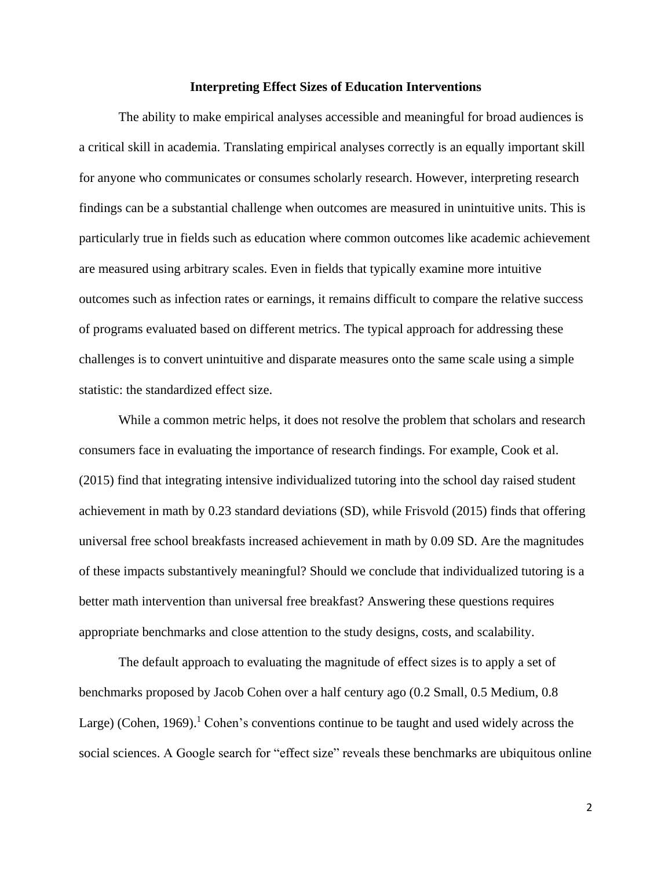#### **Interpreting Effect Sizes of Education Interventions**

The ability to make empirical analyses accessible and meaningful for broad audiences is a critical skill in academia. Translating empirical analyses correctly is an equally important skill for anyone who communicates or consumes scholarly research. However, interpreting research findings can be a substantial challenge when outcomes are measured in unintuitive units. This is particularly true in fields such as education where common outcomes like academic achievement are measured using arbitrary scales. Even in fields that typically examine more intuitive outcomes such as infection rates or earnings, it remains difficult to compare the relative success of programs evaluated based on different metrics. The typical approach for addressing these challenges is to convert unintuitive and disparate measures onto the same scale using a simple statistic: the standardized effect size.

While a common metric helps, it does not resolve the problem that scholars and research consumers face in evaluating the importance of research findings. For example, Cook et al. (2015) find that integrating intensive individualized tutoring into the school day raised student achievement in math by 0.23 standard deviations (SD), while Frisvold (2015) finds that offering universal free school breakfasts increased achievement in math by 0.09 SD. Are the magnitudes of these impacts substantively meaningful? Should we conclude that individualized tutoring is a better math intervention than universal free breakfast? Answering these questions requires appropriate benchmarks and close attention to the study designs, costs, and scalability.

The default approach to evaluating the magnitude of effect sizes is to apply a set of benchmarks proposed by Jacob Cohen over a half century ago (0.2 Small, 0.5 Medium, 0.8 Large) (Cohen, 1969).<sup>1</sup> Cohen's conventions continue to be taught and used widely across the social sciences. A Google search for "effect size" reveals these benchmarks are ubiquitous online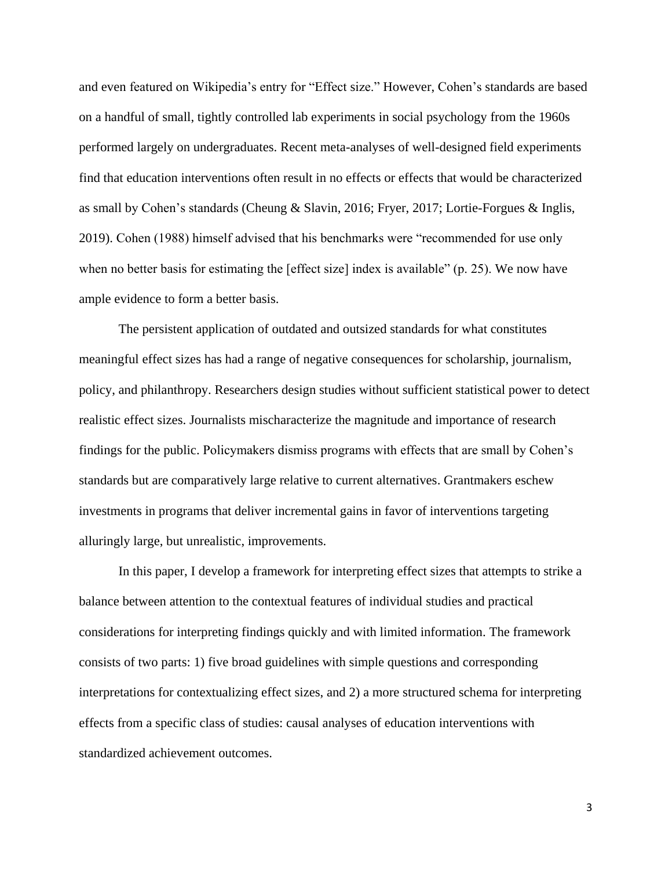and even featured on Wikipedia's entry for "Effect size." However, Cohen's standards are based on a handful of small, tightly controlled lab experiments in social psychology from the 1960s performed largely on undergraduates. Recent meta-analyses of well-designed field experiments find that education interventions often result in no effects or effects that would be characterized as small by Cohen's standards (Cheung & Slavin, 2016; Fryer, 2017; Lortie-Forgues & Inglis, 2019). Cohen (1988) himself advised that his benchmarks were "recommended for use only when no better basis for estimating the [effect size] index is available" (p. 25). We now have ample evidence to form a better basis.

The persistent application of outdated and outsized standards for what constitutes meaningful effect sizes has had a range of negative consequences for scholarship, journalism, policy, and philanthropy. Researchers design studies without sufficient statistical power to detect realistic effect sizes. Journalists mischaracterize the magnitude and importance of research findings for the public. Policymakers dismiss programs with effects that are small by Cohen's standards but are comparatively large relative to current alternatives. Grantmakers eschew investments in programs that deliver incremental gains in favor of interventions targeting alluringly large, but unrealistic, improvements.

In this paper, I develop a framework for interpreting effect sizes that attempts to strike a balance between attention to the contextual features of individual studies and practical considerations for interpreting findings quickly and with limited information. The framework consists of two parts: 1) five broad guidelines with simple questions and corresponding interpretations for contextualizing effect sizes, and 2) a more structured schema for interpreting effects from a specific class of studies: causal analyses of education interventions with standardized achievement outcomes.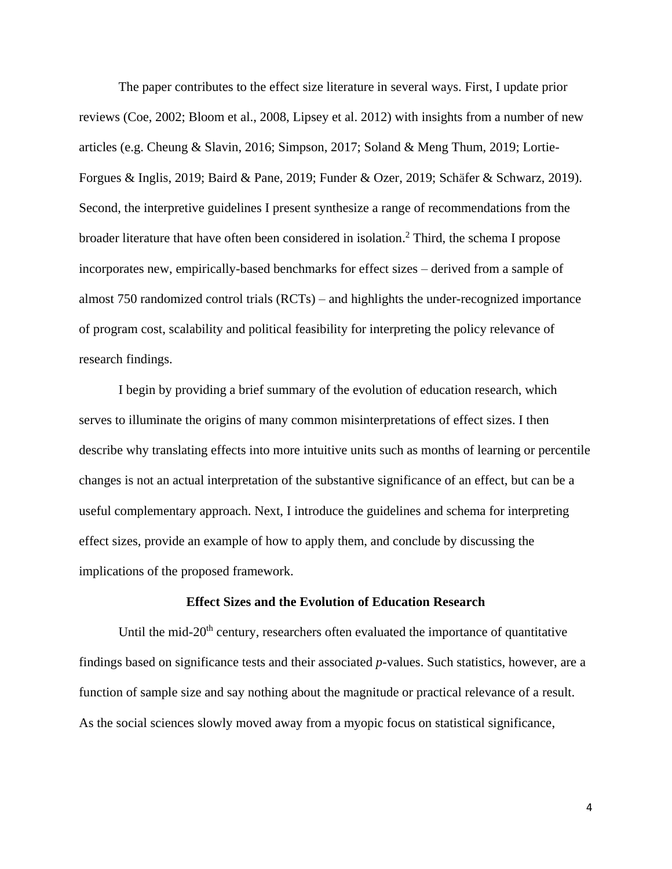The paper contributes to the effect size literature in several ways. First, I update prior reviews (Coe, 2002; Bloom et al., 2008, Lipsey et al. 2012) with insights from a number of new articles (e.g. Cheung & Slavin, 2016; Simpson, 2017; Soland & Meng Thum, 2019; Lortie-Forgues & Inglis, 2019; Baird & Pane, 2019; Funder & Ozer, 2019; Schäfer & Schwarz, 2019). Second, the interpretive guidelines I present synthesize a range of recommendations from the broader literature that have often been considered in isolation. <sup>2</sup> Third, the schema I propose incorporates new, empirically-based benchmarks for effect sizes – derived from a sample of almost 750 randomized control trials (RCTs) – and highlights the under-recognized importance of program cost, scalability and political feasibility for interpreting the policy relevance of research findings.

I begin by providing a brief summary of the evolution of education research, which serves to illuminate the origins of many common misinterpretations of effect sizes. I then describe why translating effects into more intuitive units such as months of learning or percentile changes is not an actual interpretation of the substantive significance of an effect, but can be a useful complementary approach. Next, I introduce the guidelines and schema for interpreting effect sizes, provide an example of how to apply them, and conclude by discussing the implications of the proposed framework.

#### **Effect Sizes and the Evolution of Education Research**

Until the mid-20<sup>th</sup> century, researchers often evaluated the importance of quantitative findings based on significance tests and their associated *p*-values. Such statistics, however, are a function of sample size and say nothing about the magnitude or practical relevance of a result. As the social sciences slowly moved away from a myopic focus on statistical significance,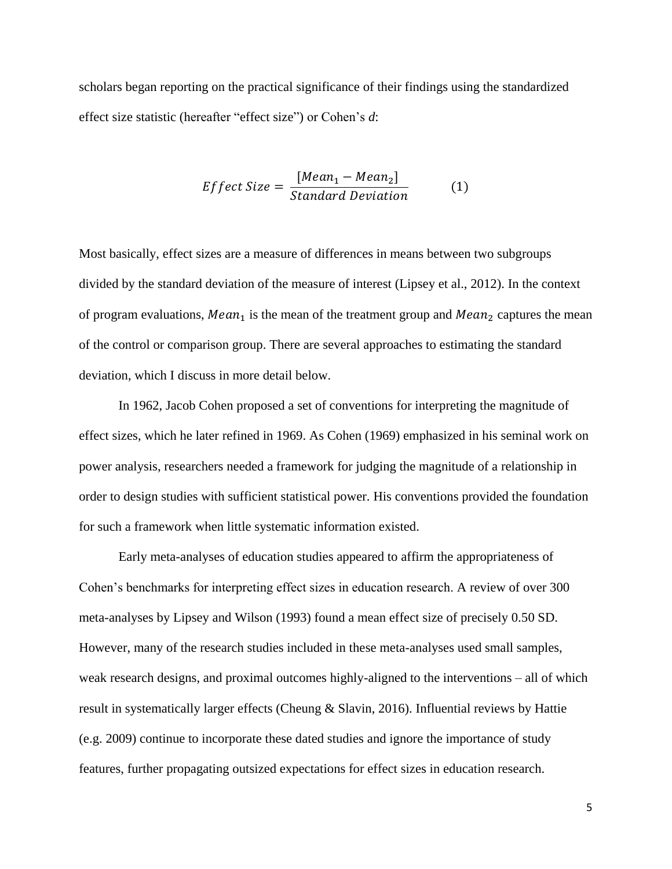scholars began reporting on the practical significance of their findings using the standardized effect size statistic (hereafter "effect size") or Cohen's *d*:

$$
Effect Size = \frac{[Mean_1 - Mean_2]}{Standard Deviation}
$$
 (1)

Most basically, effect sizes are a measure of differences in means between two subgroups divided by the standard deviation of the measure of interest (Lipsey et al., 2012). In the context of program evaluations,  $Mean_1$  is the mean of the treatment group and  $Mean_2$  captures the mean of the control or comparison group. There are several approaches to estimating the standard deviation, which I discuss in more detail below.

In 1962, Jacob Cohen proposed a set of conventions for interpreting the magnitude of effect sizes, which he later refined in 1969. As Cohen (1969) emphasized in his seminal work on power analysis, researchers needed a framework for judging the magnitude of a relationship in order to design studies with sufficient statistical power. His conventions provided the foundation for such a framework when little systematic information existed.

Early meta-analyses of education studies appeared to affirm the appropriateness of Cohen's benchmarks for interpreting effect sizes in education research. A review of over 300 meta-analyses by Lipsey and Wilson (1993) found a mean effect size of precisely 0.50 SD. However, many of the research studies included in these meta-analyses used small samples, weak research designs, and proximal outcomes highly-aligned to the interventions – all of which result in systematically larger effects (Cheung & Slavin, 2016). Influential reviews by Hattie (e.g. 2009) continue to incorporate these dated studies and ignore the importance of study features, further propagating outsized expectations for effect sizes in education research.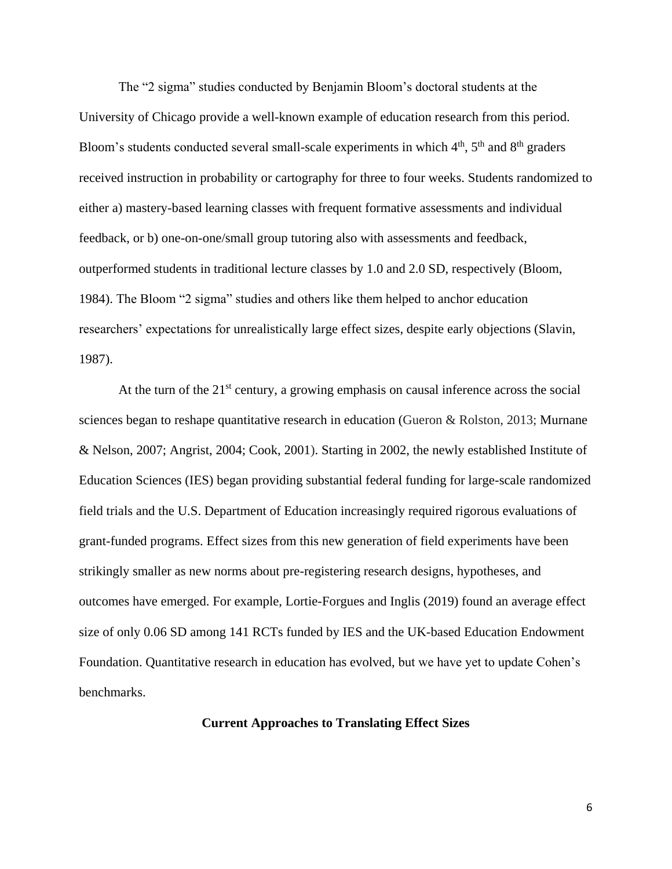The "2 sigma" studies conducted by Benjamin Bloom's doctoral students at the University of Chicago provide a well-known example of education research from this period. Bloom's students conducted several small-scale experiments in which  $4<sup>th</sup>$ ,  $5<sup>th</sup>$  and  $8<sup>th</sup>$  graders received instruction in probability or cartography for three to four weeks. Students randomized to either a) mastery-based learning classes with frequent formative assessments and individual feedback, or b) one-on-one/small group tutoring also with assessments and feedback, outperformed students in traditional lecture classes by 1.0 and 2.0 SD, respectively (Bloom, 1984). The Bloom "2 sigma" studies and others like them helped to anchor education researchers' expectations for unrealistically large effect sizes, despite early objections (Slavin, 1987).

At the turn of the  $21<sup>st</sup>$  century, a growing emphasis on causal inference across the social sciences began to reshape quantitative research in education (Gueron & Rolston, 2013; Murnane & Nelson, 2007; Angrist, 2004; Cook, 2001). Starting in 2002, the newly established Institute of Education Sciences (IES) began providing substantial federal funding for large-scale randomized field trials and the U.S. Department of Education increasingly required rigorous evaluations of grant-funded programs. Effect sizes from this new generation of field experiments have been strikingly smaller as new norms about pre-registering research designs, hypotheses, and outcomes have emerged. For example, Lortie-Forgues and Inglis (2019) found an average effect size of only 0.06 SD among 141 RCTs funded by IES and the UK-based Education Endowment Foundation. Quantitative research in education has evolved, but we have yet to update Cohen's benchmarks.

#### **Current Approaches to Translating Effect Sizes**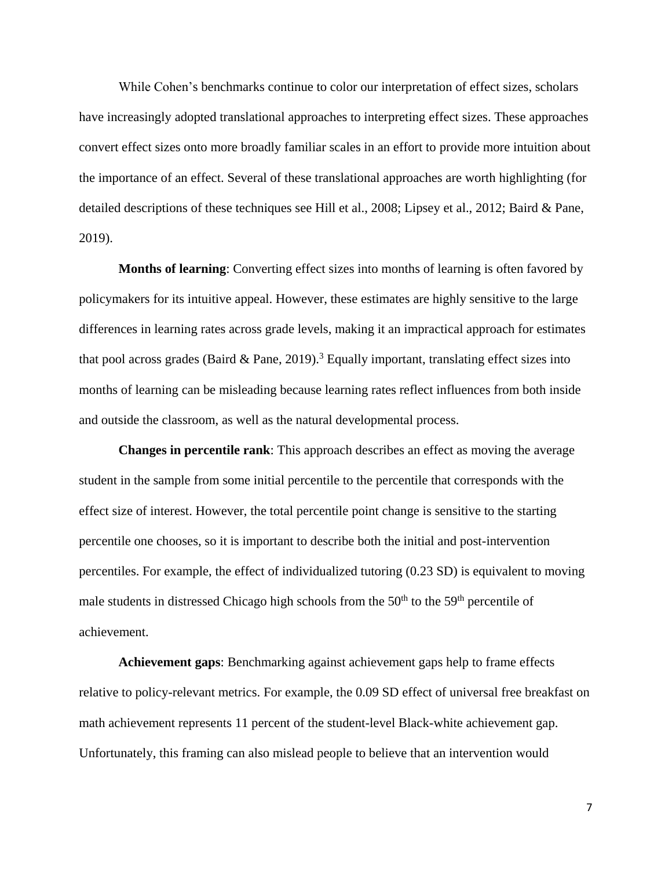While Cohen's benchmarks continue to color our interpretation of effect sizes, scholars have increasingly adopted translational approaches to interpreting effect sizes. These approaches convert effect sizes onto more broadly familiar scales in an effort to provide more intuition about the importance of an effect. Several of these translational approaches are worth highlighting (for detailed descriptions of these techniques see Hill et al., 2008; Lipsey et al., 2012; Baird & Pane, 2019).

**Months of learning**: Converting effect sizes into months of learning is often favored by policymakers for its intuitive appeal. However, these estimates are highly sensitive to the large differences in learning rates across grade levels, making it an impractical approach for estimates that pool across grades (Baird & Pane, 2019).<sup>3</sup> Equally important, translating effect sizes into months of learning can be misleading because learning rates reflect influences from both inside and outside the classroom, as well as the natural developmental process.

**Changes in percentile rank**: This approach describes an effect as moving the average student in the sample from some initial percentile to the percentile that corresponds with the effect size of interest. However, the total percentile point change is sensitive to the starting percentile one chooses, so it is important to describe both the initial and post-intervention percentiles. For example, the effect of individualized tutoring (0.23 SD) is equivalent to moving male students in distressed Chicago high schools from the  $50<sup>th</sup>$  to the  $59<sup>th</sup>$  percentile of achievement.

**Achievement gaps**: Benchmarking against achievement gaps help to frame effects relative to policy-relevant metrics. For example, the 0.09 SD effect of universal free breakfast on math achievement represents 11 percent of the student-level Black-white achievement gap. Unfortunately, this framing can also mislead people to believe that an intervention would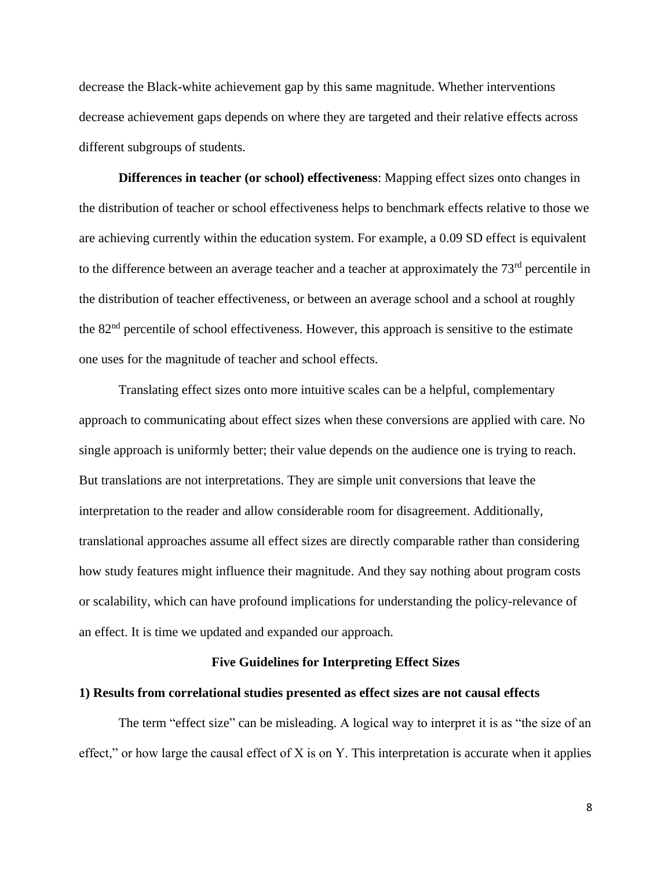decrease the Black-white achievement gap by this same magnitude. Whether interventions decrease achievement gaps depends on where they are targeted and their relative effects across different subgroups of students.

**Differences in teacher (or school) effectiveness**: Mapping effect sizes onto changes in the distribution of teacher or school effectiveness helps to benchmark effects relative to those we are achieving currently within the education system. For example, a 0.09 SD effect is equivalent to the difference between an average teacher and a teacher at approximately the 73<sup>rd</sup> percentile in the distribution of teacher effectiveness, or between an average school and a school at roughly the 82nd percentile of school effectiveness. However, this approach is sensitive to the estimate one uses for the magnitude of teacher and school effects.

Translating effect sizes onto more intuitive scales can be a helpful, complementary approach to communicating about effect sizes when these conversions are applied with care. No single approach is uniformly better; their value depends on the audience one is trying to reach. But translations are not interpretations. They are simple unit conversions that leave the interpretation to the reader and allow considerable room for disagreement. Additionally, translational approaches assume all effect sizes are directly comparable rather than considering how study features might influence their magnitude. And they say nothing about program costs or scalability, which can have profound implications for understanding the policy-relevance of an effect. It is time we updated and expanded our approach.

#### **Five Guidelines for Interpreting Effect Sizes**

#### **1) Results from correlational studies presented as effect sizes are not causal effects**

The term "effect size" can be misleading. A logical way to interpret it is as "the size of an effect," or how large the causal effect of  $X$  is on  $Y$ . This interpretation is accurate when it applies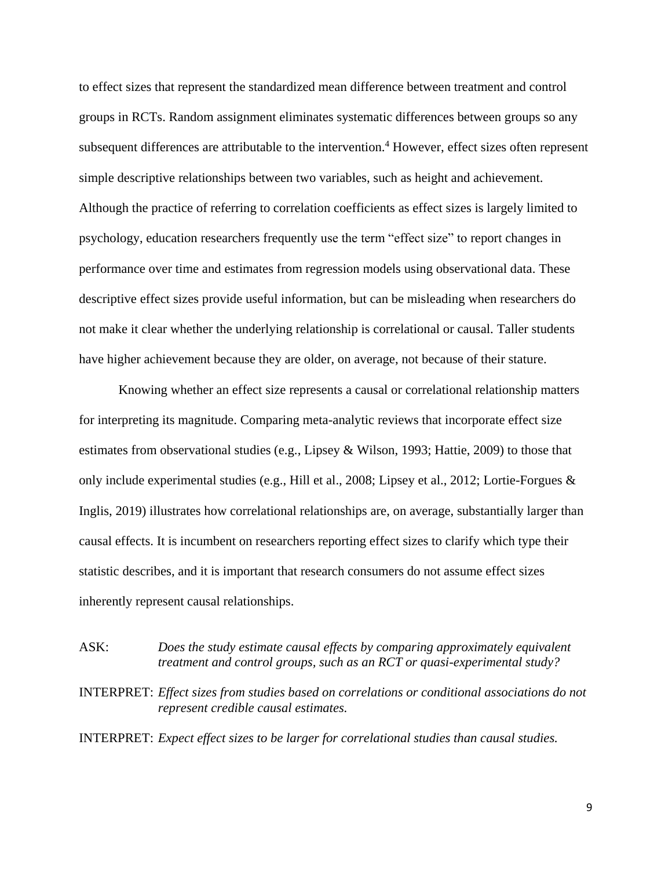to effect sizes that represent the standardized mean difference between treatment and control groups in RCTs. Random assignment eliminates systematic differences between groups so any subsequent differences are attributable to the intervention.<sup>4</sup> However, effect sizes often represent simple descriptive relationships between two variables, such as height and achievement. Although the practice of referring to correlation coefficients as effect sizes is largely limited to psychology, education researchers frequently use the term "effect size" to report changes in performance over time and estimates from regression models using observational data. These descriptive effect sizes provide useful information, but can be misleading when researchers do not make it clear whether the underlying relationship is correlational or causal. Taller students have higher achievement because they are older, on average, not because of their stature.

Knowing whether an effect size represents a causal or correlational relationship matters for interpreting its magnitude. Comparing meta-analytic reviews that incorporate effect size estimates from observational studies (e.g., Lipsey & Wilson, 1993; Hattie, 2009) to those that only include experimental studies (e.g., Hill et al., 2008; Lipsey et al., 2012; Lortie-Forgues & Inglis, 2019) illustrates how correlational relationships are, on average, substantially larger than causal effects. It is incumbent on researchers reporting effect sizes to clarify which type their statistic describes, and it is important that research consumers do not assume effect sizes inherently represent causal relationships.

ASK: *Does the study estimate causal effects by comparing approximately equivalent treatment and control groups, such as an RCT or quasi-experimental study?*

INTERPRET: *Effect sizes from studies based on correlations or conditional associations do not represent credible causal estimates.*

INTERPRET: *Expect effect sizes to be larger for correlational studies than causal studies.*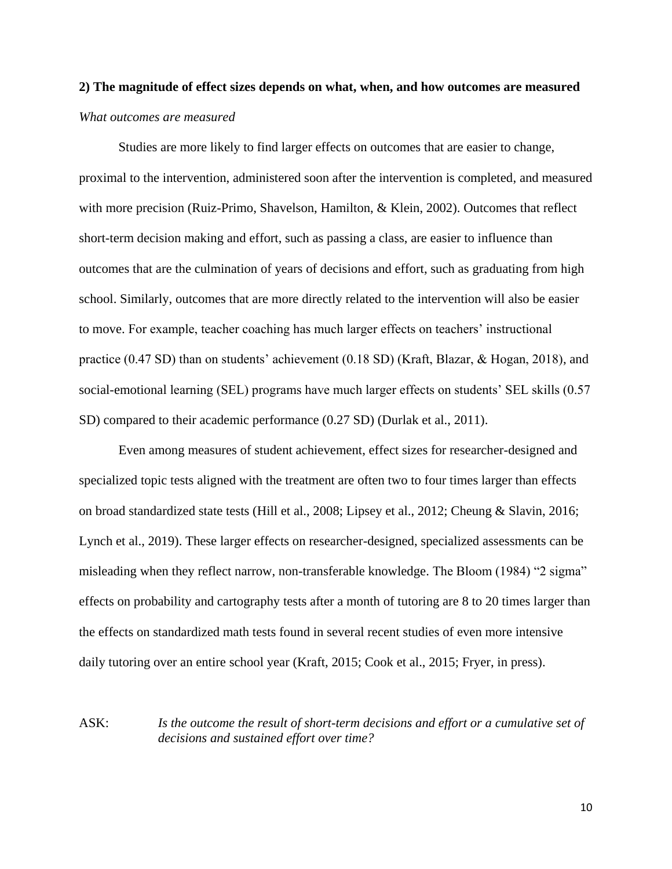# **2) The magnitude of effect sizes depends on what, when, and how outcomes are measured** *What outcomes are measured*

Studies are more likely to find larger effects on outcomes that are easier to change, proximal to the intervention, administered soon after the intervention is completed, and measured with more precision (Ruiz-Primo, Shavelson, Hamilton, & Klein, 2002). Outcomes that reflect short-term decision making and effort, such as passing a class, are easier to influence than outcomes that are the culmination of years of decisions and effort, such as graduating from high school. Similarly, outcomes that are more directly related to the intervention will also be easier to move. For example, teacher coaching has much larger effects on teachers' instructional practice (0.47 SD) than on students' achievement (0.18 SD) (Kraft, Blazar, & Hogan, 2018), and social-emotional learning (SEL) programs have much larger effects on students' SEL skills (0.57 SD) compared to their academic performance  $(0.27 SD)$  (Durlak et al., 2011).

Even among measures of student achievement, effect sizes for researcher-designed and specialized topic tests aligned with the treatment are often two to four times larger than effects on broad standardized state tests (Hill et al., 2008; Lipsey et al., 2012; Cheung & Slavin, 2016; Lynch et al., 2019). These larger effects on researcher-designed, specialized assessments can be misleading when they reflect narrow, non-transferable knowledge. The Bloom (1984) "2 sigma" effects on probability and cartography tests after a month of tutoring are 8 to 20 times larger than the effects on standardized math tests found in several recent studies of even more intensive daily tutoring over an entire school year (Kraft, 2015; Cook et al., 2015; Fryer, in press).

ASK: *Is the outcome the result of short-term decisions and effort or a cumulative set of decisions and sustained effort over time?*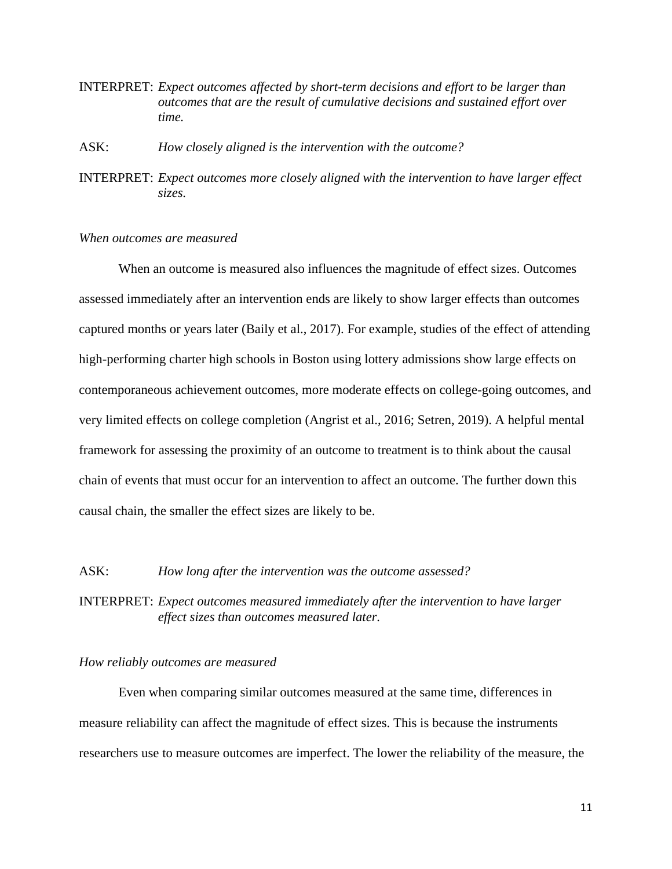INTERPRET: *Expect outcomes affected by short-term decisions and effort to be larger than outcomes that are the result of cumulative decisions and sustained effort over time.*

ASK: *How closely aligned is the intervention with the outcome?*

INTERPRET: *Expect outcomes more closely aligned with the intervention to have larger effect sizes.*

#### *When outcomes are measured*

When an outcome is measured also influences the magnitude of effect sizes. Outcomes assessed immediately after an intervention ends are likely to show larger effects than outcomes captured months or years later (Baily et al., 2017). For example, studies of the effect of attending high-performing charter high schools in Boston using lottery admissions show large effects on contemporaneous achievement outcomes, more moderate effects on college-going outcomes, and very limited effects on college completion (Angrist et al., 2016; Setren, 2019). A helpful mental framework for assessing the proximity of an outcome to treatment is to think about the causal chain of events that must occur for an intervention to affect an outcome. The further down this causal chain, the smaller the effect sizes are likely to be.

#### ASK: *How long after the intervention was the outcome assessed?*

INTERPRET: *Expect outcomes measured immediately after the intervention to have larger effect sizes than outcomes measured later.*

#### *How reliably outcomes are measured*

Even when comparing similar outcomes measured at the same time, differences in measure reliability can affect the magnitude of effect sizes. This is because the instruments researchers use to measure outcomes are imperfect. The lower the reliability of the measure, the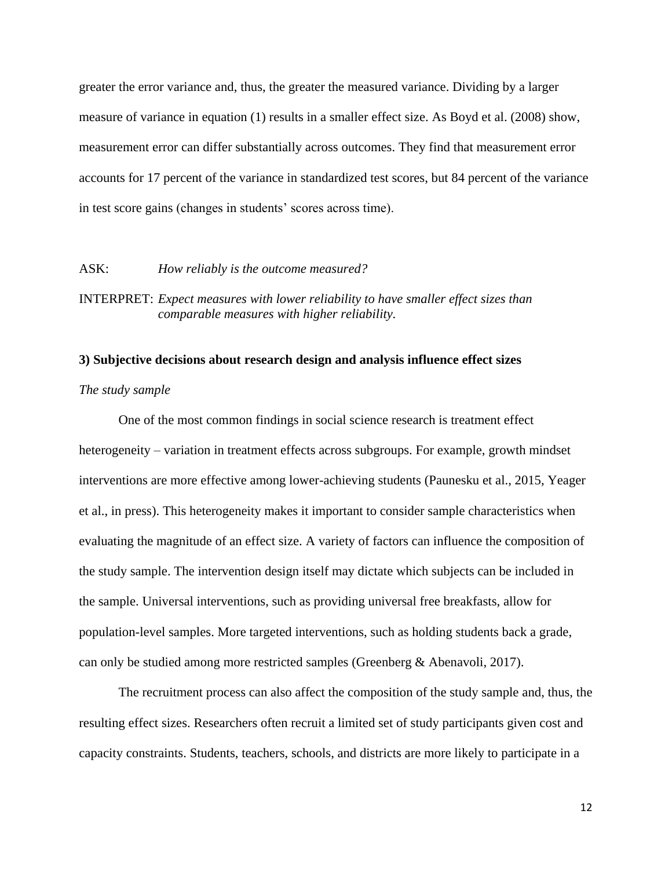greater the error variance and, thus, the greater the measured variance. Dividing by a larger measure of variance in equation (1) results in a smaller effect size. As Boyd et al. (2008) show, measurement error can differ substantially across outcomes. They find that measurement error accounts for 17 percent of the variance in standardized test scores, but 84 percent of the variance in test score gains (changes in students' scores across time).

#### ASK: *How reliably is the outcome measured?*

INTERPRET: *Expect measures with lower reliability to have smaller effect sizes than comparable measures with higher reliability.*

#### **3) Subjective decisions about research design and analysis influence effect sizes**

#### *The study sample*

One of the most common findings in social science research is treatment effect heterogeneity – variation in treatment effects across subgroups. For example, growth mindset interventions are more effective among lower-achieving students (Paunesku et al., 2015, Yeager et al., in press). This heterogeneity makes it important to consider sample characteristics when evaluating the magnitude of an effect size. A variety of factors can influence the composition of the study sample. The intervention design itself may dictate which subjects can be included in the sample. Universal interventions, such as providing universal free breakfasts, allow for population-level samples. More targeted interventions, such as holding students back a grade, can only be studied among more restricted samples (Greenberg & Abenavoli, 2017).

The recruitment process can also affect the composition of the study sample and, thus, the resulting effect sizes. Researchers often recruit a limited set of study participants given cost and capacity constraints. Students, teachers, schools, and districts are more likely to participate in a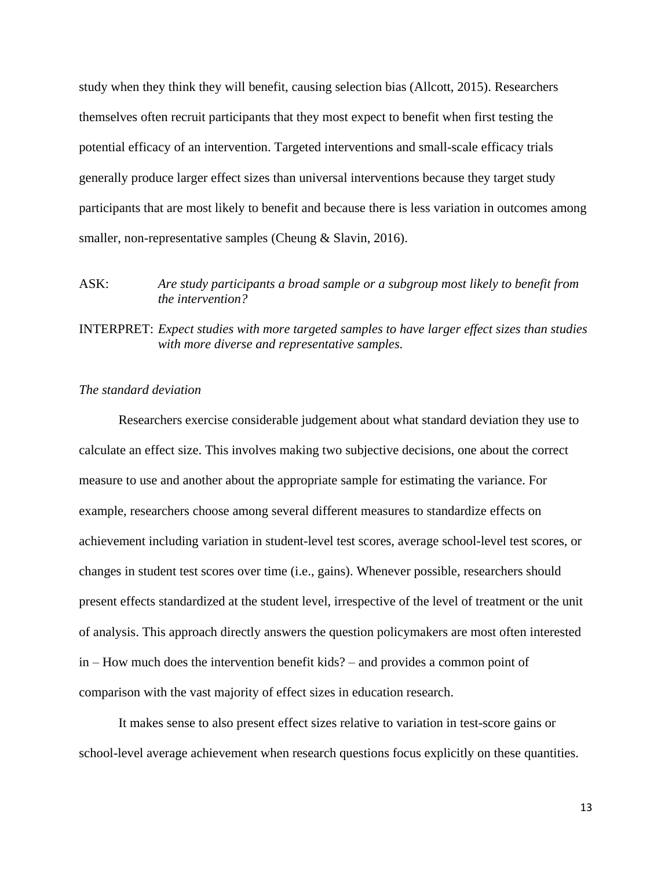study when they think they will benefit, causing selection bias (Allcott, 2015). Researchers themselves often recruit participants that they most expect to benefit when first testing the potential efficacy of an intervention. Targeted interventions and small-scale efficacy trials generally produce larger effect sizes than universal interventions because they target study participants that are most likely to benefit and because there is less variation in outcomes among smaller, non-representative samples (Cheung & Slavin, 2016).

# ASK: *Are study participants a broad sample or a subgroup most likely to benefit from the intervention?*

INTERPRET: *Expect studies with more targeted samples to have larger effect sizes than studies with more diverse and representative samples.*

#### *The standard deviation*

Researchers exercise considerable judgement about what standard deviation they use to calculate an effect size. This involves making two subjective decisions, one about the correct measure to use and another about the appropriate sample for estimating the variance. For example, researchers choose among several different measures to standardize effects on achievement including variation in student-level test scores, average school-level test scores, or changes in student test scores over time (i.e., gains). Whenever possible, researchers should present effects standardized at the student level, irrespective of the level of treatment or the unit of analysis. This approach directly answers the question policymakers are most often interested in – How much does the intervention benefit kids? – and provides a common point of comparison with the vast majority of effect sizes in education research.

It makes sense to also present effect sizes relative to variation in test-score gains or school-level average achievement when research questions focus explicitly on these quantities.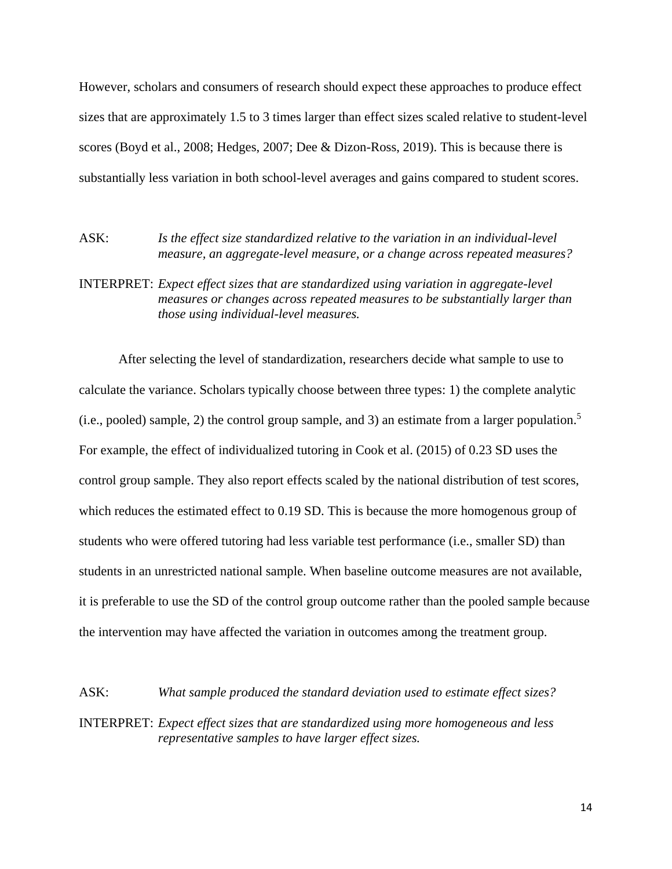However, scholars and consumers of research should expect these approaches to produce effect sizes that are approximately 1.5 to 3 times larger than effect sizes scaled relative to student-level scores (Boyd et al., 2008; Hedges, 2007; Dee & Dizon-Ross, 2019). This is because there is substantially less variation in both school-level averages and gains compared to student scores.

### ASK: *Is the effect size standardized relative to the variation in an individual-level measure, an aggregate-level measure, or a change across repeated measures?*

# INTERPRET: *Expect effect sizes that are standardized using variation in aggregate-level measures or changes across repeated measures to be substantially larger than those using individual-level measures.*

After selecting the level of standardization, researchers decide what sample to use to calculate the variance. Scholars typically choose between three types: 1) the complete analytic (i.e., pooled) sample, 2) the control group sample, and 3) an estimate from a larger population.<sup>5</sup> For example, the effect of individualized tutoring in Cook et al. (2015) of 0.23 SD uses the control group sample. They also report effects scaled by the national distribution of test scores, which reduces the estimated effect to 0.19 SD. This is because the more homogenous group of students who were offered tutoring had less variable test performance (i.e., smaller SD) than students in an unrestricted national sample. When baseline outcome measures are not available, it is preferable to use the SD of the control group outcome rather than the pooled sample because the intervention may have affected the variation in outcomes among the treatment group.

ASK: *What sample produced the standard deviation used to estimate effect sizes?* INTERPRET: *Expect effect sizes that are standardized using more homogeneous and less* 

*representative samples to have larger effect sizes.*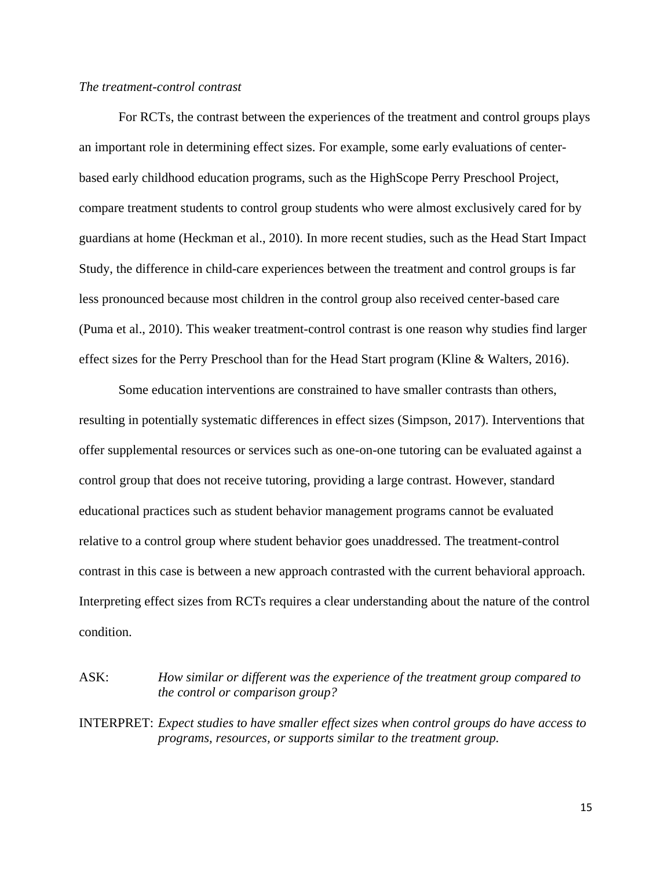#### *The treatment-control contrast*

For RCTs, the contrast between the experiences of the treatment and control groups plays an important role in determining effect sizes. For example, some early evaluations of centerbased early childhood education programs, such as the HighScope Perry Preschool Project, compare treatment students to control group students who were almost exclusively cared for by guardians at home (Heckman et al., 2010). In more recent studies, such as the Head Start Impact Study, the difference in child-care experiences between the treatment and control groups is far less pronounced because most children in the control group also received center-based care (Puma et al., 2010). This weaker treatment-control contrast is one reason why studies find larger effect sizes for the Perry Preschool than for the Head Start program (Kline & Walters, 2016).

Some education interventions are constrained to have smaller contrasts than others, resulting in potentially systematic differences in effect sizes (Simpson, 2017). Interventions that offer supplemental resources or services such as one-on-one tutoring can be evaluated against a control group that does not receive tutoring, providing a large contrast. However, standard educational practices such as student behavior management programs cannot be evaluated relative to a control group where student behavior goes unaddressed. The treatment-control contrast in this case is between a new approach contrasted with the current behavioral approach. Interpreting effect sizes from RCTs requires a clear understanding about the nature of the control condition.

ASK: *How similar or different was the experience of the treatment group compared to the control or comparison group?*

INTERPRET: *Expect studies to have smaller effect sizes when control groups do have access to programs, resources, or supports similar to the treatment group.*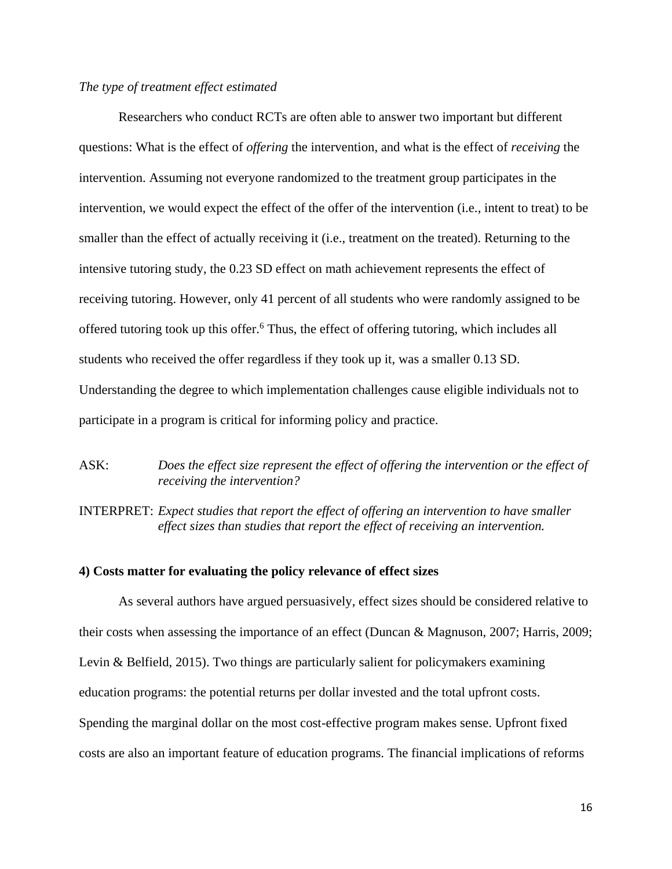#### *The type of treatment effect estimated*

Researchers who conduct RCTs are often able to answer two important but different questions: What is the effect of *offering* the intervention, and what is the effect of *receiving* the intervention. Assuming not everyone randomized to the treatment group participates in the intervention, we would expect the effect of the offer of the intervention (i.e., intent to treat) to be smaller than the effect of actually receiving it (i.e., treatment on the treated). Returning to the intensive tutoring study, the 0.23 SD effect on math achievement represents the effect of receiving tutoring. However, only 41 percent of all students who were randomly assigned to be offered tutoring took up this offer.<sup>6</sup> Thus, the effect of offering tutoring, which includes all students who received the offer regardless if they took up it, was a smaller 0.13 SD. Understanding the degree to which implementation challenges cause eligible individuals not to participate in a program is critical for informing policy and practice.

# ASK: *Does the effect size represent the effect of offering the intervention or the effect of receiving the intervention?*

INTERPRET: *Expect studies that report the effect of offering an intervention to have smaller effect sizes than studies that report the effect of receiving an intervention.*

#### **4) Costs matter for evaluating the policy relevance of effect sizes**

As several authors have argued persuasively, effect sizes should be considered relative to their costs when assessing the importance of an effect (Duncan & Magnuson, 2007; Harris, 2009; Levin & Belfield, 2015). Two things are particularly salient for policymakers examining education programs: the potential returns per dollar invested and the total upfront costs. Spending the marginal dollar on the most cost-effective program makes sense. Upfront fixed costs are also an important feature of education programs. The financial implications of reforms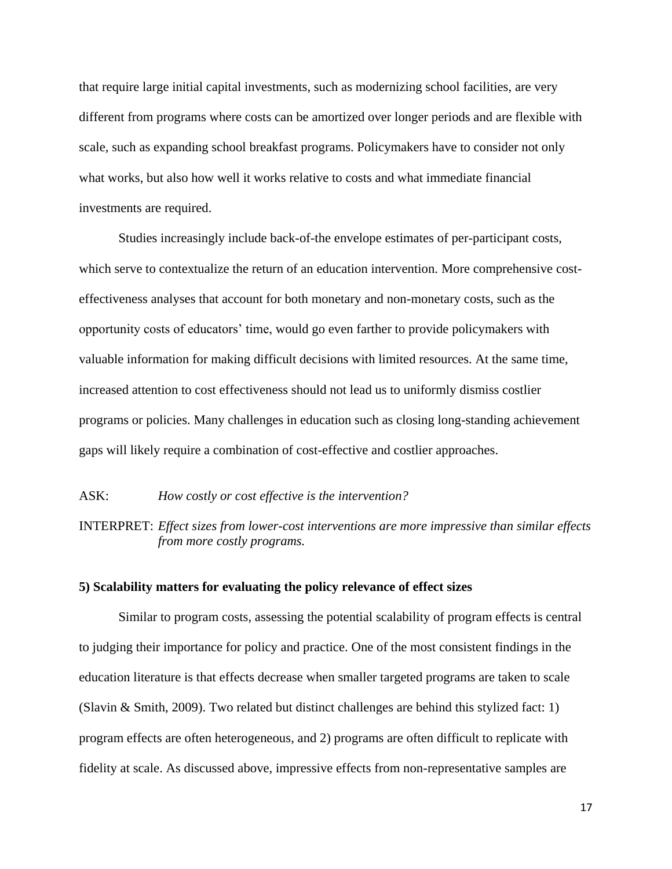that require large initial capital investments, such as modernizing school facilities, are very different from programs where costs can be amortized over longer periods and are flexible with scale, such as expanding school breakfast programs. Policymakers have to consider not only what works, but also how well it works relative to costs and what immediate financial investments are required.

Studies increasingly include back-of-the envelope estimates of per-participant costs, which serve to contextualize the return of an education intervention. More comprehensive costeffectiveness analyses that account for both monetary and non-monetary costs, such as the opportunity costs of educators' time, would go even farther to provide policymakers with valuable information for making difficult decisions with limited resources. At the same time, increased attention to cost effectiveness should not lead us to uniformly dismiss costlier programs or policies. Many challenges in education such as closing long-standing achievement gaps will likely require a combination of cost-effective and costlier approaches.

### ASK: *How costly or cost effective is the intervention?*

INTERPRET: *Effect sizes from lower-cost interventions are more impressive than similar effects from more costly programs.*

#### **5) Scalability matters for evaluating the policy relevance of effect sizes**

Similar to program costs, assessing the potential scalability of program effects is central to judging their importance for policy and practice. One of the most consistent findings in the education literature is that effects decrease when smaller targeted programs are taken to scale (Slavin & Smith, 2009). Two related but distinct challenges are behind this stylized fact: 1) program effects are often heterogeneous, and 2) programs are often difficult to replicate with fidelity at scale. As discussed above, impressive effects from non-representative samples are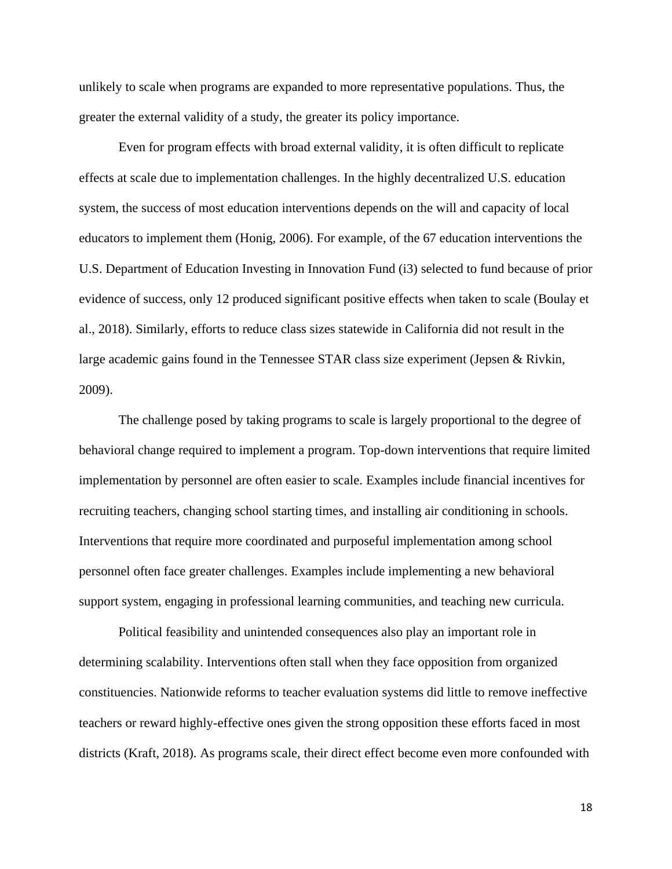unlikely to scale when programs are expanded to more representative populations. Thus, the greater the external validity of a study, the greater its policy importance.

Even for program effects with broad external validity, it is often difficult to replicate effects at scale due to implementation challenges. In the highly decentralized U.S. education system, the success of most education interventions depends on the will and capacity of local educators to implement them (Honig, 2006). For example, of the 67 education interventions the U.S. Department of Education Investing in Innovation Fund (i3) selected to fund because of prior evidence of success, only 12 produced significant positive effects when taken to scale (Boulay et al., 2018). Similarly, efforts to reduce class sizes statewide in California did not result in the large academic gains found in the Tennessee STAR class size experiment (Jepsen & Rivkin, 2009).

The challenge posed by taking programs to scale is largely proportional to the degree of behavioral change required to implement a program. Top-down interventions that require limited implementation by personnel are often easier to scale. Examples include financial incentives for recruiting teachers, changing school starting times, and installing air conditioning in schools. Interventions that require more coordinated and purposeful implementation among school personnel often face greater challenges. Examples include implementing a new behavioral support system, engaging in professional learning communities, and teaching new curricula.

Political feasibility and unintended consequences also play an important role in determining scalability. Interventions often stall when they face opposition from organized constituencies. Nationwide reforms to teacher evaluation systems did little to remove ineffective teachers or reward highly-effective ones given the strong opposition these efforts faced in most districts (Kraft, 2018). As programs scale, their direct effect become even more confounded with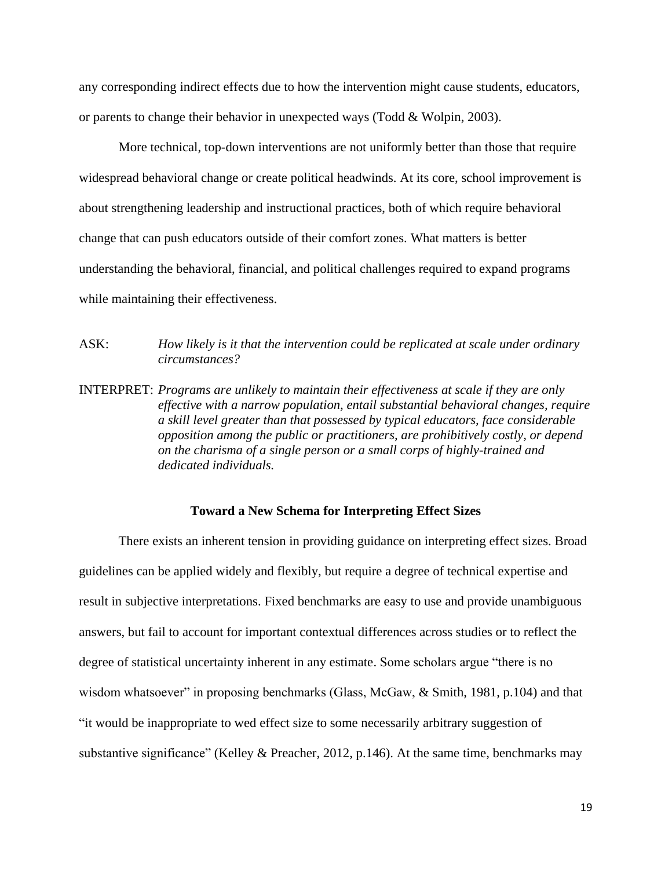any corresponding indirect effects due to how the intervention might cause students, educators, or parents to change their behavior in unexpected ways (Todd & Wolpin, 2003).

More technical, top-down interventions are not uniformly better than those that require widespread behavioral change or create political headwinds. At its core, school improvement is about strengthening leadership and instructional practices, both of which require behavioral change that can push educators outside of their comfort zones. What matters is better understanding the behavioral, financial, and political challenges required to expand programs while maintaining their effectiveness.

ASK: *How likely is it that the intervention could be replicated at scale under ordinary circumstances?*

INTERPRET: *Programs are unlikely to maintain their effectiveness at scale if they are only effective with a narrow population, entail substantial behavioral changes, require a skill level greater than that possessed by typical educators, face considerable opposition among the public or practitioners, are prohibitively costly, or depend on the charisma of a single person or a small corps of highly-trained and dedicated individuals.* 

#### **Toward a New Schema for Interpreting Effect Sizes**

There exists an inherent tension in providing guidance on interpreting effect sizes. Broad guidelines can be applied widely and flexibly, but require a degree of technical expertise and result in subjective interpretations. Fixed benchmarks are easy to use and provide unambiguous answers, but fail to account for important contextual differences across studies or to reflect the degree of statistical uncertainty inherent in any estimate. Some scholars argue "there is no wisdom whatsoever" in proposing benchmarks (Glass, McGaw, & Smith, 1981, p.104) and that "it would be inappropriate to wed effect size to some necessarily arbitrary suggestion of substantive significance" (Kelley & Preacher, 2012, p.146). At the same time, benchmarks may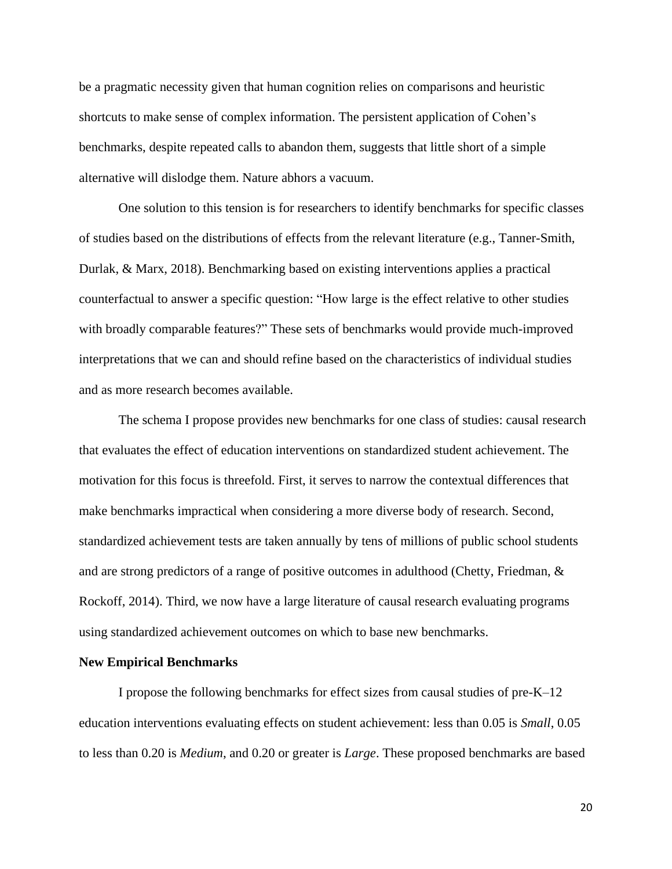be a pragmatic necessity given that human cognition relies on comparisons and heuristic shortcuts to make sense of complex information. The persistent application of Cohen's benchmarks, despite repeated calls to abandon them, suggests that little short of a simple alternative will dislodge them. Nature abhors a vacuum.

One solution to this tension is for researchers to identify benchmarks for specific classes of studies based on the distributions of effects from the relevant literature (e.g., Tanner-Smith, Durlak, & Marx, 2018). Benchmarking based on existing interventions applies a practical counterfactual to answer a specific question: "How large is the effect relative to other studies with broadly comparable features?" These sets of benchmarks would provide much-improved interpretations that we can and should refine based on the characteristics of individual studies and as more research becomes available.

The schema I propose provides new benchmarks for one class of studies: causal research that evaluates the effect of education interventions on standardized student achievement. The motivation for this focus is threefold. First, it serves to narrow the contextual differences that make benchmarks impractical when considering a more diverse body of research. Second, standardized achievement tests are taken annually by tens of millions of public school students and are strong predictors of a range of positive outcomes in adulthood (Chetty, Friedman, & Rockoff, 2014). Third, we now have a large literature of causal research evaluating programs using standardized achievement outcomes on which to base new benchmarks.

#### **New Empirical Benchmarks**

I propose the following benchmarks for effect sizes from causal studies of pre-K–12 education interventions evaluating effects on student achievement: less than 0.05 is *Small*, 0.05 to less than 0.20 is *Medium*, and 0.20 or greater is *Large*. These proposed benchmarks are based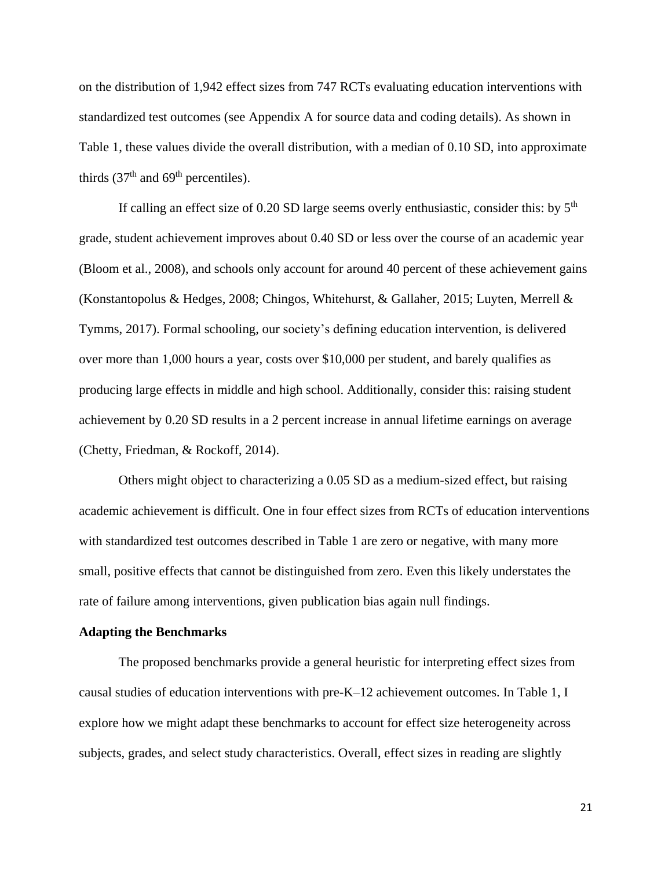on the distribution of 1,942 effect sizes from 747 RCTs evaluating education interventions with standardized test outcomes (see Appendix A for source data and coding details). As shown in Table 1, these values divide the overall distribution, with a median of 0.10 SD, into approximate thirds  $(37<sup>th</sup>$  and  $69<sup>th</sup>$  percentiles).

If calling an effect size of  $0.20$  SD large seems overly enthusiastic, consider this: by  $5<sup>th</sup>$ grade, student achievement improves about 0.40 SD or less over the course of an academic year (Bloom et al., 2008), and schools only account for around 40 percent of these achievement gains (Konstantopolus & Hedges, 2008; Chingos, Whitehurst, & Gallaher, 2015; Luyten, Merrell & Tymms, 2017). Formal schooling, our society's defining education intervention, is delivered over more than 1,000 hours a year, costs over \$10,000 per student, and barely qualifies as producing large effects in middle and high school. Additionally, consider this: raising student achievement by 0.20 SD results in a 2 percent increase in annual lifetime earnings on average (Chetty, Friedman, & Rockoff, 2014).

Others might object to characterizing a 0.05 SD as a medium-sized effect, but raising academic achievement is difficult. One in four effect sizes from RCTs of education interventions with standardized test outcomes described in Table 1 are zero or negative, with many more small, positive effects that cannot be distinguished from zero. Even this likely understates the rate of failure among interventions, given publication bias again null findings.

#### **Adapting the Benchmarks**

The proposed benchmarks provide a general heuristic for interpreting effect sizes from causal studies of education interventions with pre-K–12 achievement outcomes. In Table 1, I explore how we might adapt these benchmarks to account for effect size heterogeneity across subjects, grades, and select study characteristics. Overall, effect sizes in reading are slightly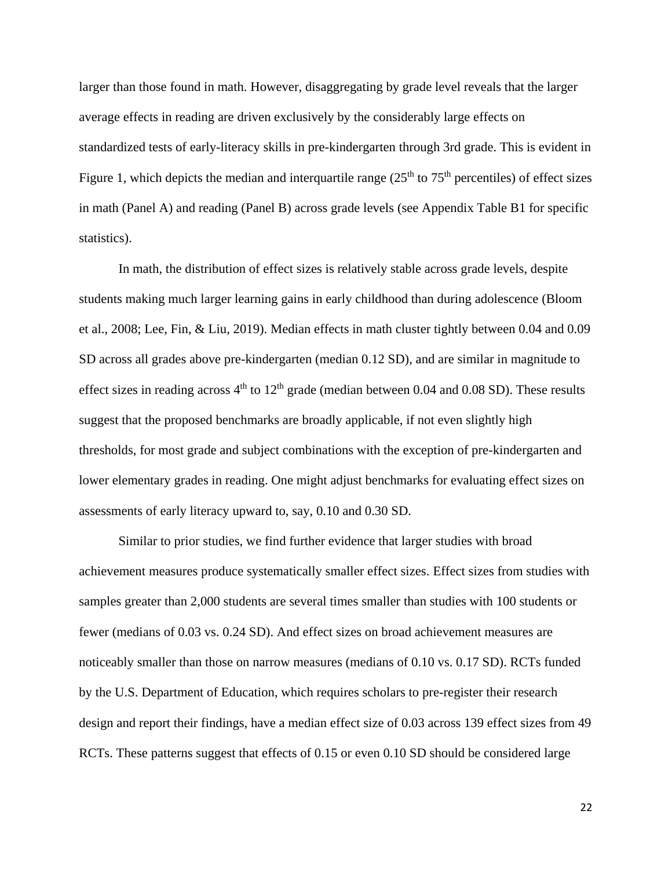larger than those found in math. However, disaggregating by grade level reveals that the larger average effects in reading are driven exclusively by the considerably large effects on standardized tests of early-literacy skills in pre-kindergarten through 3rd grade. This is evident in Figure 1, which depicts the median and interquartile range  $(25<sup>th</sup>$  to  $75<sup>th</sup>$  percentiles) of effect sizes in math (Panel A) and reading (Panel B) across grade levels (see Appendix Table B1 for specific statistics).

In math, the distribution of effect sizes is relatively stable across grade levels, despite students making much larger learning gains in early childhood than during adolescence (Bloom et al., 2008; Lee, Fin, & Liu, 2019). Median effects in math cluster tightly between 0.04 and 0.09 SD across all grades above pre-kindergarten (median 0.12 SD), and are similar in magnitude to effect sizes in reading across  $4<sup>th</sup>$  to  $12<sup>th</sup>$  grade (median between 0.04 and 0.08 SD). These results suggest that the proposed benchmarks are broadly applicable, if not even slightly high thresholds, for most grade and subject combinations with the exception of pre-kindergarten and lower elementary grades in reading. One might adjust benchmarks for evaluating effect sizes on assessments of early literacy upward to, say, 0.10 and 0.30 SD.

Similar to prior studies, we find further evidence that larger studies with broad achievement measures produce systematically smaller effect sizes. Effect sizes from studies with samples greater than 2,000 students are several times smaller than studies with 100 students or fewer (medians of 0.03 vs. 0.24 SD). And effect sizes on broad achievement measures are noticeably smaller than those on narrow measures (medians of 0.10 vs. 0.17 SD). RCTs funded by the U.S. Department of Education, which requires scholars to pre-register their research design and report their findings, have a median effect size of 0.03 across 139 effect sizes from 49 RCTs. These patterns suggest that effects of 0.15 or even 0.10 SD should be considered large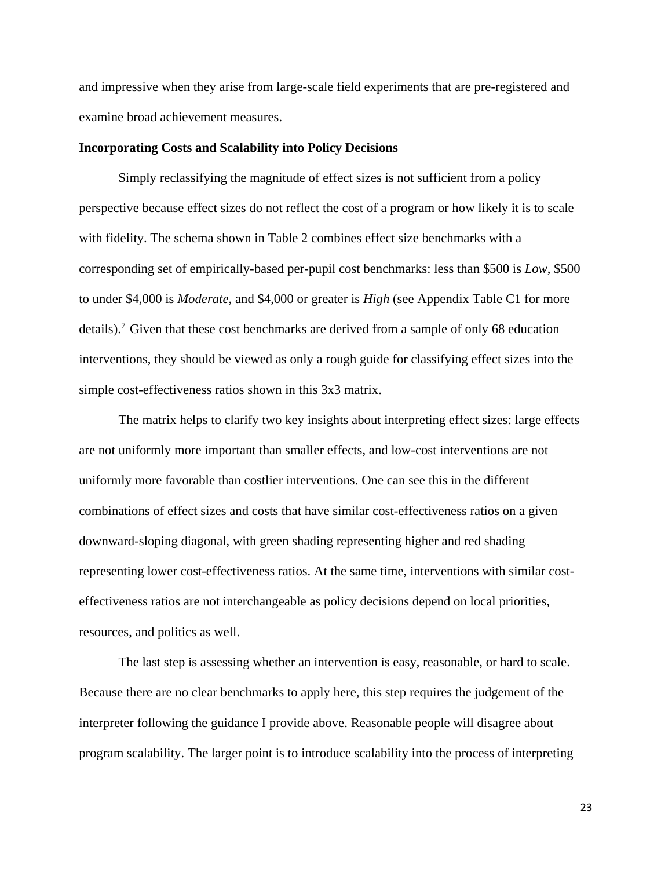and impressive when they arise from large-scale field experiments that are pre-registered and examine broad achievement measures.

#### **Incorporating Costs and Scalability into Policy Decisions**

Simply reclassifying the magnitude of effect sizes is not sufficient from a policy perspective because effect sizes do not reflect the cost of a program or how likely it is to scale with fidelity. The schema shown in Table 2 combines effect size benchmarks with a corresponding set of empirically-based per-pupil cost benchmarks: less than \$500 is *Low*, \$500 to under \$4,000 is *Moderate*, and \$4,000 or greater is *High* (see Appendix Table C1 for more details).<sup>7</sup> Given that these cost benchmarks are derived from a sample of only 68 education interventions, they should be viewed as only a rough guide for classifying effect sizes into the simple cost-effectiveness ratios shown in this 3x3 matrix.

The matrix helps to clarify two key insights about interpreting effect sizes: large effects are not uniformly more important than smaller effects, and low-cost interventions are not uniformly more favorable than costlier interventions. One can see this in the different combinations of effect sizes and costs that have similar cost-effectiveness ratios on a given downward-sloping diagonal, with green shading representing higher and red shading representing lower cost-effectiveness ratios. At the same time, interventions with similar costeffectiveness ratios are not interchangeable as policy decisions depend on local priorities, resources, and politics as well.

The last step is assessing whether an intervention is easy, reasonable, or hard to scale. Because there are no clear benchmarks to apply here, this step requires the judgement of the interpreter following the guidance I provide above. Reasonable people will disagree about program scalability. The larger point is to introduce scalability into the process of interpreting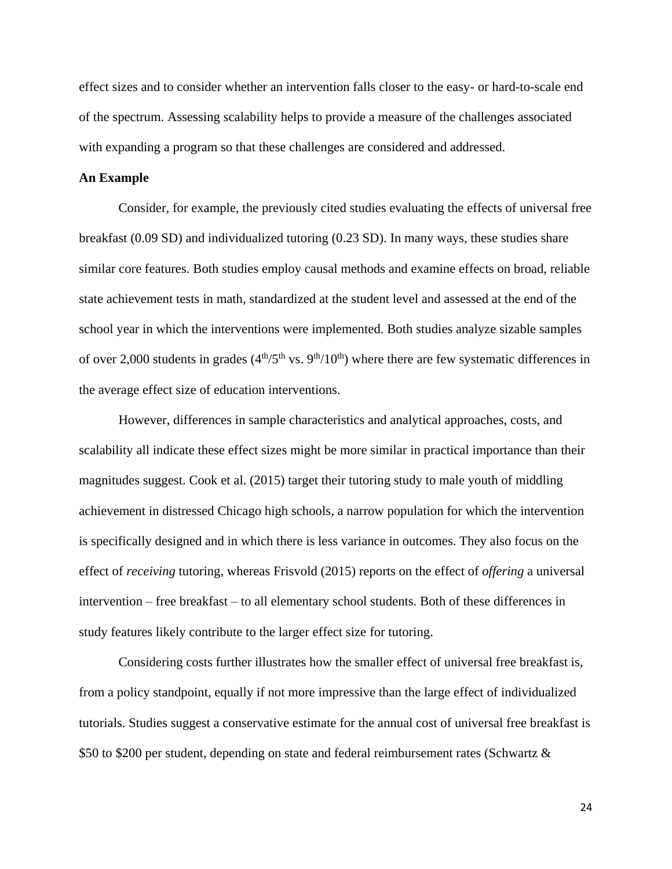effect sizes and to consider whether an intervention falls closer to the easy- or hard-to-scale end of the spectrum. Assessing scalability helps to provide a measure of the challenges associated with expanding a program so that these challenges are considered and addressed.

#### **An Example**

Consider, for example, the previously cited studies evaluating the effects of universal free breakfast (0.09 SD) and individualized tutoring (0.23 SD). In many ways, these studies share similar core features. Both studies employ causal methods and examine effects on broad, reliable state achievement tests in math, standardized at the student level and assessed at the end of the school year in which the interventions were implemented. Both studies analyze sizable samples of over 2,000 students in grades  $(4<sup>th</sup>/5<sup>th</sup>$  vs.  $9<sup>th</sup>/10<sup>th</sup>$ ) where there are few systematic differences in the average effect size of education interventions.

However, differences in sample characteristics and analytical approaches, costs, and scalability all indicate these effect sizes might be more similar in practical importance than their magnitudes suggest. Cook et al. (2015) target their tutoring study to male youth of middling achievement in distressed Chicago high schools, a narrow population for which the intervention is specifically designed and in which there is less variance in outcomes. They also focus on the effect of *receiving* tutoring, whereas Frisvold (2015) reports on the effect of *offering* a universal intervention – free breakfast – to all elementary school students. Both of these differences in study features likely contribute to the larger effect size for tutoring.

Considering costs further illustrates how the smaller effect of universal free breakfast is, from a policy standpoint, equally if not more impressive than the large effect of individualized tutorials. Studies suggest a conservative estimate for the annual cost of universal free breakfast is \$50 to \$200 per student, depending on state and federal reimbursement rates (Schwartz &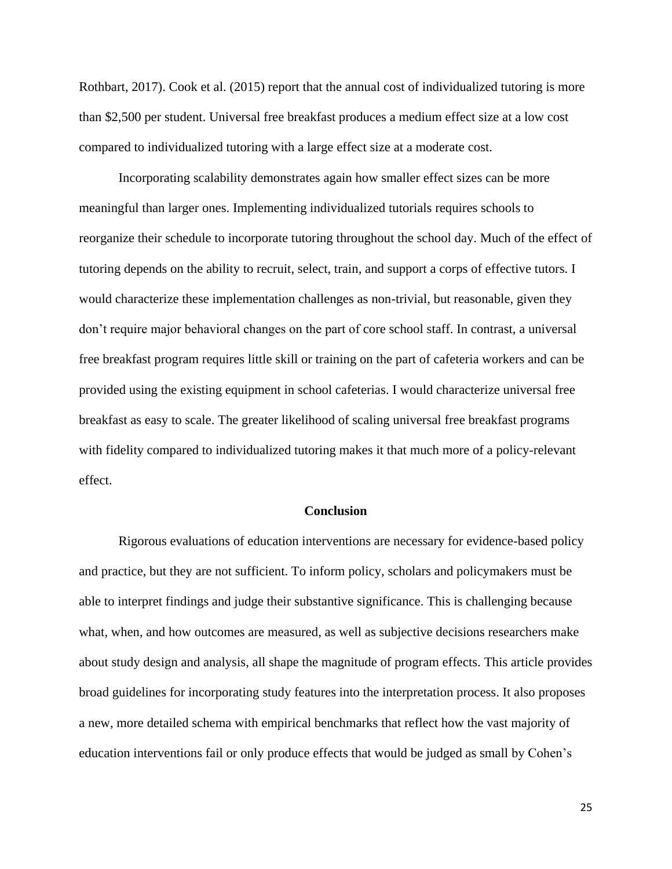Rothbart, 2017). Cook et al. (2015) report that the annual cost of individualized tutoring is more than \$2,500 per student. Universal free breakfast produces a medium effect size at a low cost compared to individualized tutoring with a large effect size at a moderate cost.

Incorporating scalability demonstrates again how smaller effect sizes can be more meaningful than larger ones. Implementing individualized tutorials requires schools to reorganize their schedule to incorporate tutoring throughout the school day. Much of the effect of tutoring depends on the ability to recruit, select, train, and support a corps of effective tutors. I would characterize these implementation challenges as non-trivial, but reasonable, given they don't require major behavioral changes on the part of core school staff. In contrast, a universal free breakfast program requires little skill or training on the part of cafeteria workers and can be provided using the existing equipment in school cafeterias. I would characterize universal free breakfast as easy to scale. The greater likelihood of scaling universal free breakfast programs with fidelity compared to individualized tutoring makes it that much more of a policy-relevant effect.

#### **Conclusion**

Rigorous evaluations of education interventions are necessary for evidence-based policy and practice, but they are not sufficient. To inform policy, scholars and policymakers must be able to interpret findings and judge their substantive significance. This is challenging because what, when, and how outcomes are measured, as well as subjective decisions researchers make about study design and analysis, all shape the magnitude of program effects. This article provides broad guidelines for incorporating study features into the interpretation process. It also proposes a new, more detailed schema with empirical benchmarks that reflect how the vast majority of education interventions fail or only produce effects that would be judged as small by Cohen's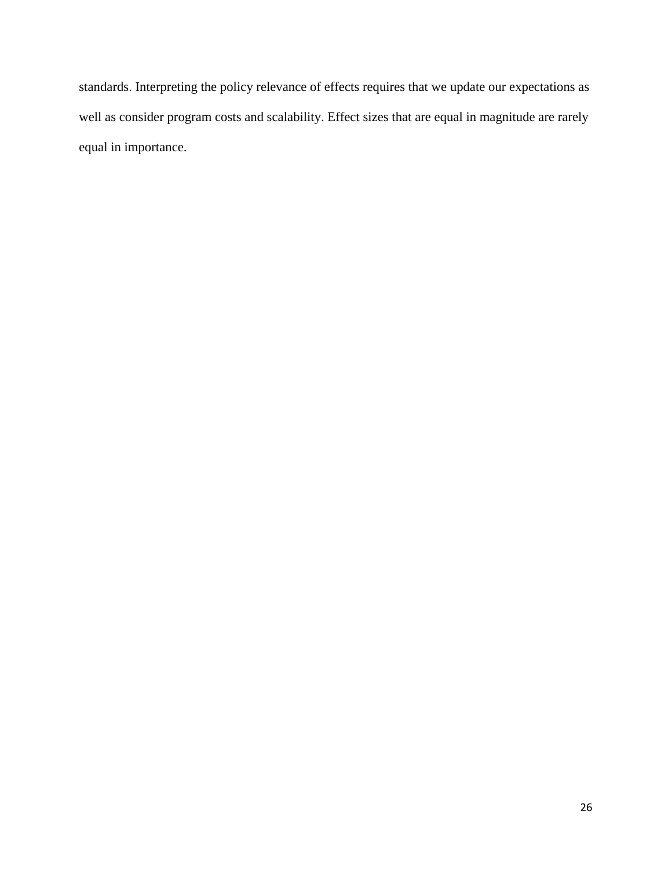standards. Interpreting the policy relevance of effects requires that we update our expectations as well as consider program costs and scalability. Effect sizes that are equal in magnitude are rarely equal in importance.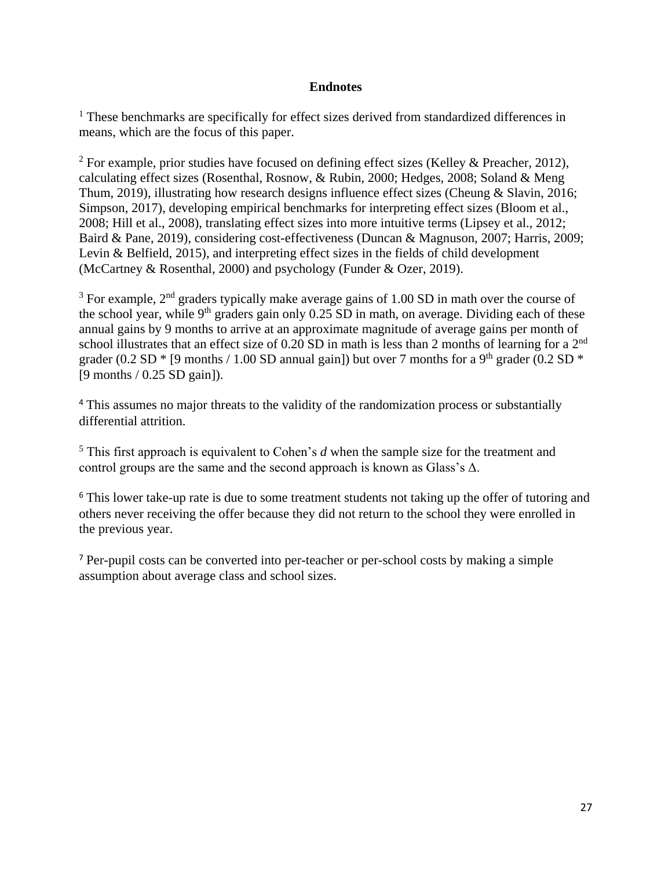## **Endnotes**

<sup>1</sup> These benchmarks are specifically for effect sizes derived from standardized differences in means, which are the focus of this paper.

<sup>2</sup> For example, prior studies have focused on defining effect sizes (Kelley & Preacher, 2012), calculating effect sizes (Rosenthal, Rosnow, & Rubin, 2000; Hedges, 2008; Soland & Meng Thum, 2019), illustrating how research designs influence effect sizes (Cheung & Slavin, 2016; Simpson, 2017), developing empirical benchmarks for interpreting effect sizes (Bloom et al., 2008; Hill et al., 2008), translating effect sizes into more intuitive terms (Lipsey et al., 2012; Baird & Pane, 2019), considering cost-effectiveness (Duncan & Magnuson, 2007; Harris, 2009; Levin & Belfield, 2015), and interpreting effect sizes in the fields of child development (McCartney & Rosenthal, 2000) and psychology (Funder & Ozer, 2019).

 $3$  For example,  $2<sup>nd</sup>$  graders typically make average gains of 1.00 SD in math over the course of the school year, while 9<sup>th</sup> graders gain only  $0.25 \overline{SD}$  in math, on average. Dividing each of these annual gains by 9 months to arrive at an approximate magnitude of average gains per month of school illustrates that an effect size of 0.20 SD in math is less than 2 months of learning for a 2<sup>nd</sup> grader (0.2 SD  $*$  [9 months / 1.00 SD annual gain]) but over 7 months for a 9<sup>th</sup> grader (0.2 SD  $*$ [9 months / 0.25 SD gain]).

<sup>4</sup> This assumes no major threats to the validity of the randomization process or substantially differential attrition.

<sup>5</sup> This first approach is equivalent to Cohen's *d* when the sample size for the treatment and control groups are the same and the second approach is known as Glass's  $\Delta$ .

<sup>6</sup> This lower take-up rate is due to some treatment students not taking up the offer of tutoring and others never receiving the offer because they did not return to the school they were enrolled in the previous year.

<sup>7</sup> Per-pupil costs can be converted into per-teacher or per-school costs by making a simple assumption about average class and school sizes.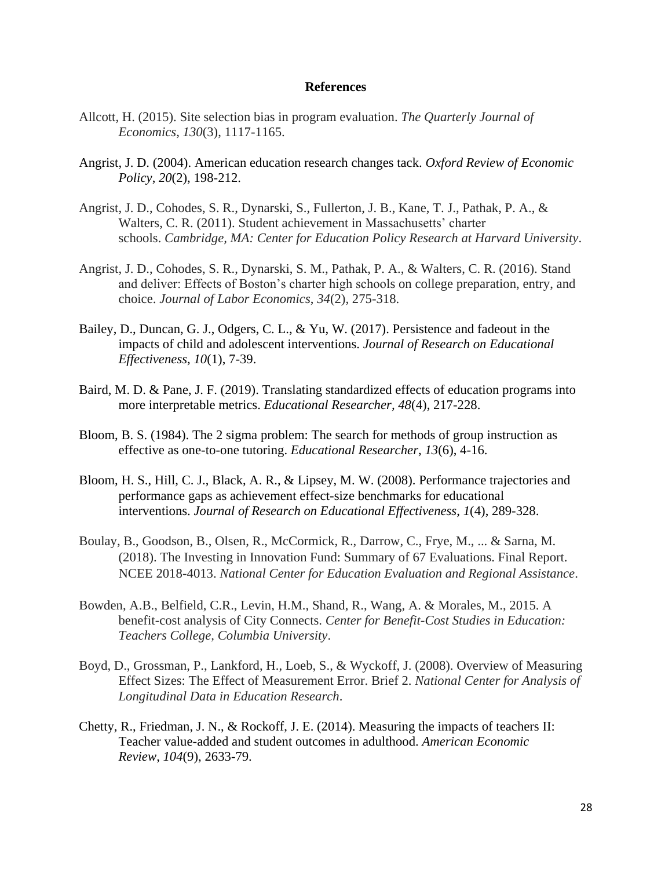#### **References**

- Allcott, H. (2015). Site selection bias in program evaluation. *The Quarterly Journal of Economics*, *130*(3), 1117-1165.
- Angrist, J. D. (2004). American education research changes tack. *Oxford Review of Economic Policy*, *20*(2), 198-212.
- Angrist, J. D., Cohodes, S. R., Dynarski, S., Fullerton, J. B., Kane, T. J., Pathak, P. A., & Walters, C. R. (2011). Student achievement in Massachusetts' charter schools. *Cambridge, MA: Center for Education Policy Research at Harvard University*.
- Angrist, J. D., Cohodes, S. R., Dynarski, S. M., Pathak, P. A., & Walters, C. R. (2016). Stand and deliver: Effects of Boston's charter high schools on college preparation, entry, and choice. *Journal of Labor Economics*, *34*(2), 275-318.
- Bailey, D., Duncan, G. J., Odgers, C. L., & Yu, W. (2017). Persistence and fadeout in the impacts of child and adolescent interventions. *Journal of Research on Educational Effectiveness*, *10*(1), 7-39.
- Baird, M. D. & Pane, J. F. (2019). Translating standardized effects of education programs into more interpretable metrics. *Educational Researcher, 48*(4), 217-228.
- Bloom, B. S. (1984). The 2 sigma problem: The search for methods of group instruction as effective as one-to-one tutoring. *Educational Researcher*, *13*(6), 4-16.
- Bloom, H. S., Hill, C. J., Black, A. R., & Lipsey, M. W. (2008). Performance trajectories and performance gaps as achievement effect-size benchmarks for educational interventions. *Journal of Research on Educational Effectiveness*, *1*(4), 289-328.
- Boulay, B., Goodson, B., Olsen, R., McCormick, R., Darrow, C., Frye, M., ... & Sarna, M. (2018). The Investing in Innovation Fund: Summary of 67 Evaluations. Final Report. NCEE 2018-4013. *National Center for Education Evaluation and Regional Assistance*.
- Bowden, A.B., Belfield, C.R., Levin, H.M., Shand, R., Wang, A. & Morales, M., 2015. A benefit-cost analysis of City Connects. *Center for Benefit-Cost Studies in Education: Teachers College, Columbia University*.
- Boyd, D., Grossman, P., Lankford, H., Loeb, S., & Wyckoff, J. (2008). Overview of Measuring Effect Sizes: The Effect of Measurement Error. Brief 2. *National Center for Analysis of Longitudinal Data in Education Research*.
- Chetty, R., Friedman, J. N., & Rockoff, J. E. (2014). Measuring the impacts of teachers II: Teacher value-added and student outcomes in adulthood. *American Economic Review*, *104*(9), 2633-79.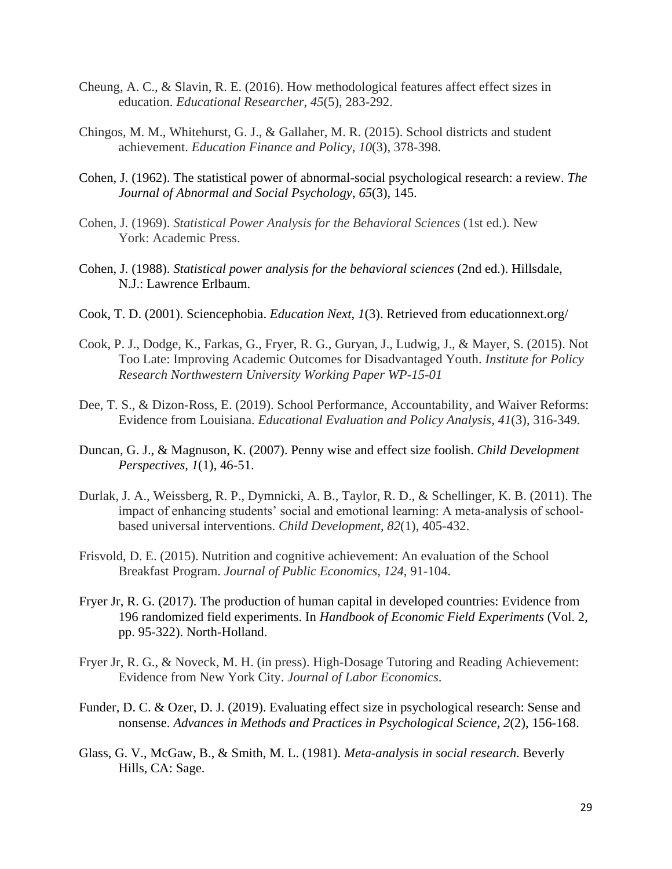- Cheung, A. C., & Slavin, R. E. (2016). How methodological features affect effect sizes in education. *Educational Researcher*, *45*(5), 283-292.
- Chingos, M. M., Whitehurst, G. J., & Gallaher, M. R. (2015). School districts and student achievement. *Education Finance and Policy*, *10*(3), 378-398.
- Cohen, J. (1962). The statistical power of abnormal-social psychological research: a review. *The Journal of Abnormal and Social Psychology*, *65*(3), 145.
- Cohen, J. (1969). *Statistical Power Analysis for the Behavioral Sciences* (1st ed.)*.* New York: Academic Press.
- Cohen, J. (1988). *Statistical power analysis for the behavioral sciences* (2nd ed.). Hillsdale, N.J.: Lawrence Erlbaum.
- Cook, T. D. (2001). Sciencephobia. *Education Next*, *1*(3). Retrieved from [educationnext.org/](http://educationnext.org/)
- Cook, P. J., Dodge, K., Farkas, G., Fryer, R. G., Guryan, J., Ludwig, J., & Mayer, S. (2015). Not Too Late: Improving Academic Outcomes for Disadvantaged Youth. *Institute for Policy Research Northwestern University Working Paper WP-15-01*
- Dee, T. S., & Dizon-Ross, E. (2019). School Performance, Accountability, and Waiver Reforms: Evidence from Louisiana. *Educational Evaluation and Policy Analysis, 41*(3), 316-349*.*
- Duncan, G. J., & Magnuson, K. (2007). Penny wise and effect size foolish. *Child Development Perspectives*, *1*(1), 46-51.
- Durlak, J. A., Weissberg, R. P., Dymnicki, A. B., Taylor, R. D., & Schellinger, K. B. (2011). The impact of enhancing students' social and emotional learning: A meta-analysis of schoolbased universal interventions. *Child Development*, *82*(1), 405-432.
- Frisvold, D. E. (2015). Nutrition and cognitive achievement: An evaluation of the School Breakfast Program. *Journal of Public Economics*, *124*, 91-104.
- Fryer Jr, R. G. (2017). The production of human capital in developed countries: Evidence from 196 randomized field experiments. In *Handbook of Economic Field Experiments* (Vol. 2, pp. 95-322). North-Holland.
- Fryer Jr, R. G., & Noveck, M. H. (in press). High-Dosage Tutoring and Reading Achievement: Evidence from New York City. *Journal of Labor Economics*.
- Funder, D. C. & Ozer, D. J. (2019). Evaluating effect size in psychological research: Sense and nonsense. *Advances in Methods and Practices in Psychological Science, 2*(2), 156-168.
- Glass, G. V., McGaw, B., & Smith, M. L. (1981). *Meta-analysis in social research.* Beverly Hills, CA: Sage.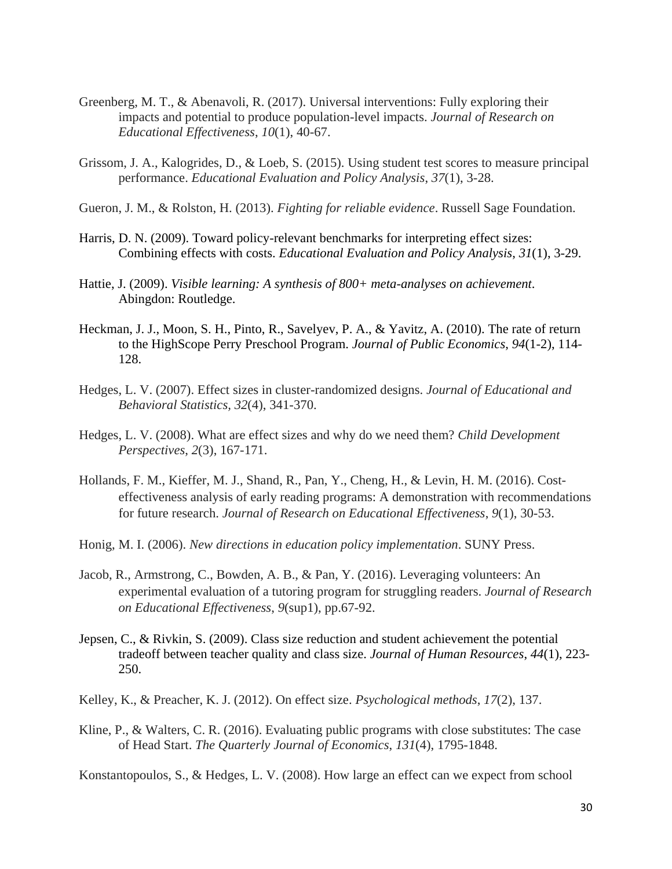- Greenberg, M. T., & Abenavoli, R. (2017). Universal interventions: Fully exploring their impacts and potential to produce population-level impacts. *Journal of Research on Educational Effectiveness*, *10*(1), 40-67.
- Grissom, J. A., Kalogrides, D., & Loeb, S. (2015). Using student test scores to measure principal performance. *Educational Evaluation and Policy Analysis*, *37*(1), 3-28.
- Gueron, J. M., & Rolston, H. (2013). *Fighting for reliable evidence*. Russell Sage Foundation.
- Harris, D. N. (2009). Toward policy-relevant benchmarks for interpreting effect sizes: Combining effects with costs. *Educational Evaluation and Policy Analysis*, *31*(1), 3-29.
- Hattie, J. (2009). *Visible learning: A synthesis of 800+ meta-analyses on achievement*. Abingdon: Routledge.
- Heckman, J. J., Moon, S. H., Pinto, R., Savelyev, P. A., & Yavitz, A. (2010). The rate of return to the HighScope Perry Preschool Program. *Journal of Public Economics*, *94*(1-2), 114- 128.
- Hedges, L. V. (2007). Effect sizes in cluster-randomized designs. *Journal of Educational and Behavioral Statistics, 32*(4), 341-370.
- Hedges, L. V. (2008). What are effect sizes and why do we need them? *Child Development Perspectives*, *2*(3), 167-171.
- Hollands, F. M., Kieffer, M. J., Shand, R., Pan, Y., Cheng, H., & Levin, H. M. (2016). Costeffectiveness analysis of early reading programs: A demonstration with recommendations for future research. *Journal of Research on Educational Effectiveness*, *9*(1), 30-53.
- Honig, M. I. (2006). *New directions in education policy implementation*. SUNY Press.
- Jacob, R., Armstrong, C., Bowden, A. B., & Pan, Y. (2016). Leveraging volunteers: An experimental evaluation of a tutoring program for struggling readers. *Journal of Research on Educational Effectiveness*, *9*(sup1), pp.67-92.
- Jepsen, C., & Rivkin, S. (2009). Class size reduction and student achievement the potential tradeoff between teacher quality and class size. *Journal of Human Resources*, *44*(1), 223- 250.
- Kelley, K., & Preacher, K. J. (2012). On effect size. *Psychological methods*, *17*(2), 137.
- Kline, P., & Walters, C. R. (2016). Evaluating public programs with close substitutes: The case of Head Start. *The Quarterly Journal of Economics*, *131*(4), 1795-1848.

Konstantopoulos, S., & Hedges, L. V. (2008). How large an effect can we expect from school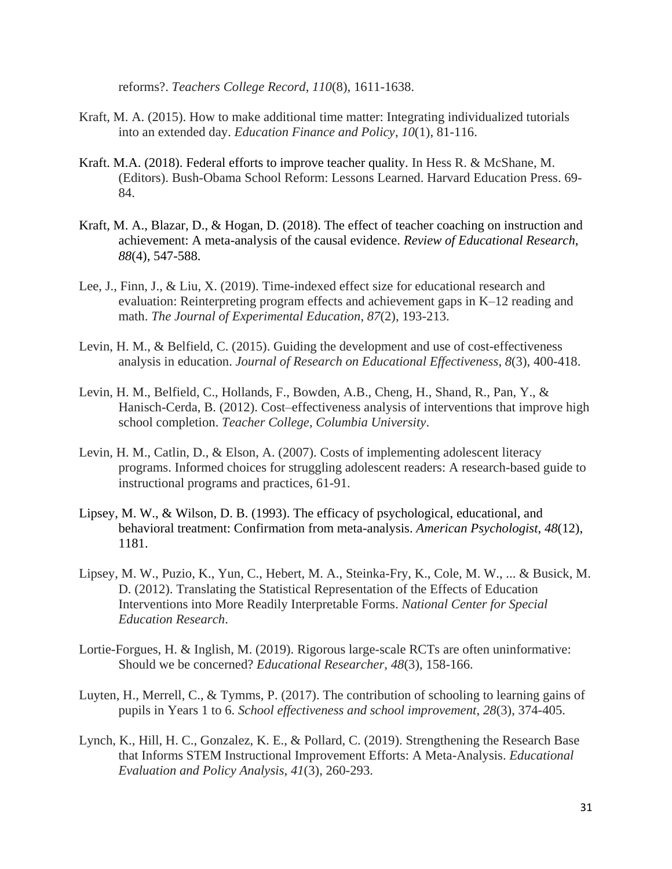reforms?. *Teachers College Record*, *110*(8), 1611-1638.

- Kraft, M. A. (2015). How to make additional time matter: Integrating individualized tutorials into an extended day. *Education Finance and Policy*, *10*(1), 81-116.
- Kraft. M.A. (2018). Federal efforts to improve teacher quality. In Hess R. & McShane, M. (Editors). Bush-Obama School Reform: Lessons Learned. Harvard Education Press. 69- 84.
- Kraft, M. A., Blazar, D., & Hogan, D. (2018). The effect of teacher coaching on instruction and achievement: A meta-analysis of the causal evidence. *Review of Educational Research*, *88*(4), 547-588.
- Lee, J., Finn, J., & Liu, X. (2019). Time-indexed effect size for educational research and evaluation: Reinterpreting program effects and achievement gaps in K–12 reading and math. *The Journal of Experimental Education*, *87*(2), 193-213.
- Levin, H. M., & Belfield, C. (2015). Guiding the development and use of cost-effectiveness analysis in education. *Journal of Research on Educational Effectiveness*, *8*(3), 400-418.
- Levin, H. M., Belfield, C., Hollands, F., Bowden, A.B., Cheng, H., Shand, R., Pan, Y., & Hanisch-Cerda, B. (2012). Cost–effectiveness analysis of interventions that improve high school completion. *Teacher College, Columbia University*.
- Levin, H. M., Catlin, D., & Elson, A. (2007). Costs of implementing adolescent literacy programs. Informed choices for struggling adolescent readers: A research-based guide to instructional programs and practices, 61-91.
- Lipsey, M. W., & Wilson, D. B. (1993). The efficacy of psychological, educational, and behavioral treatment: Confirmation from meta-analysis. *American Psychologist*, *48*(12), 1181.
- Lipsey, M. W., Puzio, K., Yun, C., Hebert, M. A., Steinka-Fry, K., Cole, M. W., ... & Busick, M. D. (2012). Translating the Statistical Representation of the Effects of Education Interventions into More Readily Interpretable Forms. *National Center for Special Education Research*.
- Lortie-Forgues, H. & Inglish, M. (2019). Rigorous large-scale RCTs are often uninformative: Should we be concerned? *Educational Researcher, 48*(3), 158-166.
- Luyten, H., Merrell, C., & Tymms, P. (2017). The contribution of schooling to learning gains of pupils in Years 1 to 6. *School effectiveness and school improvement*, *28*(3), 374-405.
- Lynch, K., Hill, H. C., Gonzalez, K. E., & Pollard, C. (2019). Strengthening the Research Base that Informs STEM Instructional Improvement Efforts: A Meta-Analysis. *Educational Evaluation and Policy Analysis*, *41*(3), 260-293.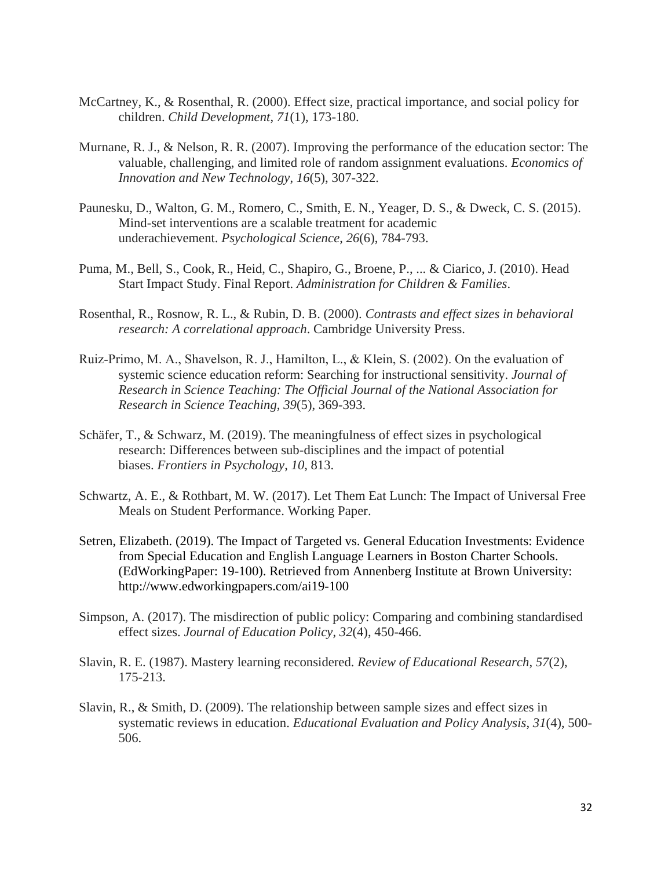- McCartney, K., & Rosenthal, R. (2000). Effect size, practical importance, and social policy for children. *Child Development*, *71*(1), 173-180.
- Murnane, R. J., & Nelson, R. R. (2007). Improving the performance of the education sector: The valuable, challenging, and limited role of random assignment evaluations. *Economics of Innovation and New Technology*, *16*(5), 307-322.
- Paunesku, D., Walton, G. M., Romero, C., Smith, E. N., Yeager, D. S., & Dweck, C. S. (2015). Mind-set interventions are a scalable treatment for academic underachievement. *Psychological Science*, *26*(6), 784-793.
- Puma, M., Bell, S., Cook, R., Heid, C., Shapiro, G., Broene, P., ... & Ciarico, J. (2010). Head Start Impact Study. Final Report. *Administration for Children & Families*.
- Rosenthal, R., Rosnow, R. L., & Rubin, D. B. (2000). *Contrasts and effect sizes in behavioral research: A correlational approach*. Cambridge University Press.
- Ruiz‐Primo, M. A., Shavelson, R. J., Hamilton, L., & Klein, S. (2002). On the evaluation of systemic science education reform: Searching for instructional sensitivity. *Journal of Research in Science Teaching: The Official Journal of the National Association for Research in Science Teaching*, *39*(5), 369-393.
- Schäfer, T., & Schwarz, M. (2019). The meaningfulness of effect sizes in psychological research: Differences between sub-disciplines and the impact of potential biases. *Frontiers in Psychology*, *10*, 813.
- Schwartz, A. E., & Rothbart, M. W. (2017). Let Them Eat Lunch: The Impact of Universal Free Meals on Student Performance. Working Paper.
- Setren, Elizabeth. (2019). The Impact of Targeted vs. General Education Investments: Evidence from Special Education and English Language Learners in Boston Charter Schools. (EdWorkingPaper: 19-100). Retrieved from Annenberg Institute at Brown University: http://www.edworkingpapers.com/ai19-100
- Simpson, A. (2017). The misdirection of public policy: Comparing and combining standardised effect sizes. *Journal of Education Policy*, *32*(4), 450-466.
- Slavin, R. E. (1987). Mastery learning reconsidered. *Review of Educational Research*, *57*(2), 175-213.
- Slavin, R., & Smith, D. (2009). The relationship between sample sizes and effect sizes in systematic reviews in education. *Educational Evaluation and Policy Analysis*, *31*(4), 500- 506.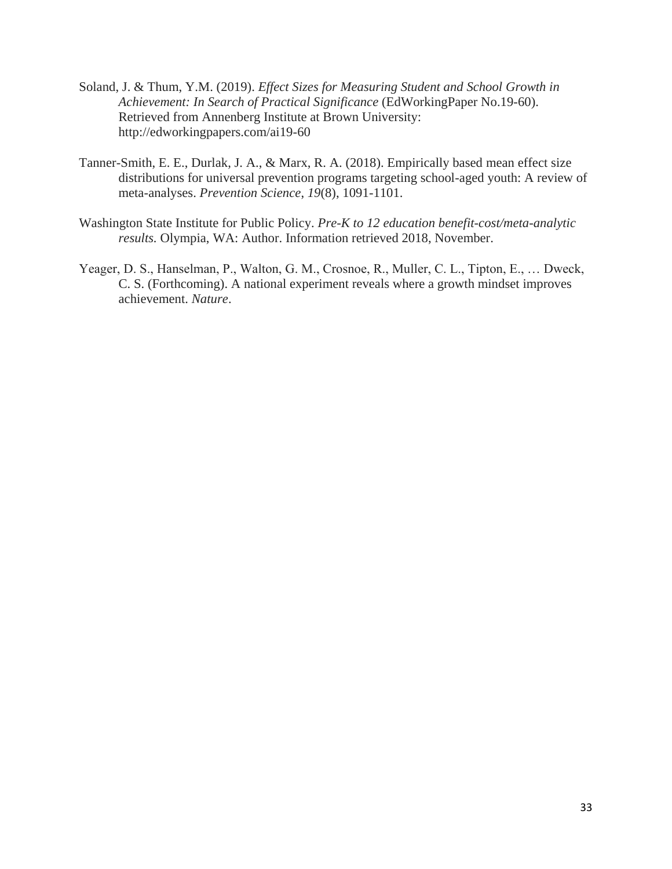- Soland, J. & Thum, Y.M. (2019). *Effect Sizes for Measuring Student and School Growth in Achievement: In Search of Practical Significance* (EdWorkingPaper No.19-60). Retrieved from Annenberg Institute at Brown University: http://edworkingpapers.com/ai19-60
- Tanner-Smith, E. E., Durlak, J. A., & Marx, R. A. (2018). Empirically based mean effect size distributions for universal prevention programs targeting school-aged youth: A review of meta-analyses. *Prevention Science*, *19*(8), 1091-1101.
- Washington State Institute for Public Policy. *Pre-K to 12 education benefit-cost/meta-analytic results.* Olympia, WA: Author. Information retrieved 2018, November.
- Yeager, D. S., Hanselman, P., Walton, G. M., Crosnoe, R., Muller, C. L., Tipton, E., … Dweck, C. S. (Forthcoming). A national experiment reveals where a growth mindset improves achievement. *Nature*.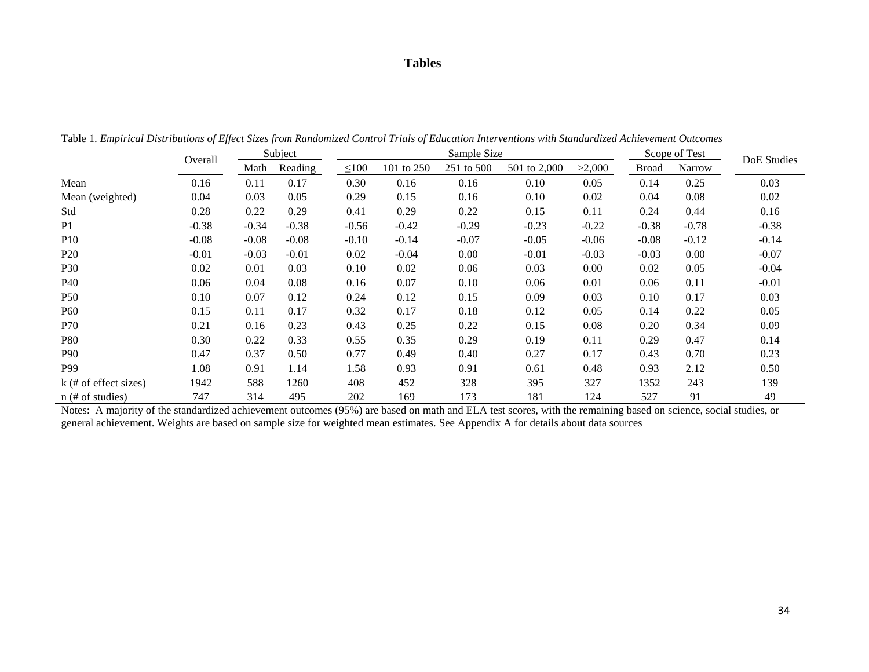### **Tables**

Table 1. *Empirical Distributions of Effect Sizes from Randomized Control Trials of Education Interventions with Standardized Achievement Outcomes*

|                         | Overall |         | Subject |            |            | Sample Size |              | Scope of Test | DoE Studies  |         |         |
|-------------------------|---------|---------|---------|------------|------------|-------------|--------------|---------------|--------------|---------|---------|
|                         | Math    |         | Reading | $\leq 100$ | 101 to 250 | 251 to 500  | 501 to 2,000 | >2,000        | <b>Broad</b> | Narrow  |         |
| Mean                    | 0.16    | 0.11    | 0.17    | 0.30       | 0.16       | 0.16        | 0.10         | 0.05          | 0.14         | 0.25    | 0.03    |
| Mean (weighted)         | 0.04    | 0.03    | 0.05    | 0.29       | 0.15       | 0.16        | 0.10         | 0.02          | 0.04         | 0.08    | 0.02    |
| Std                     | 0.28    | 0.22    | 0.29    | 0.41       | 0.29       | 0.22        | 0.15         | 0.11          | 0.24         | 0.44    | 0.16    |
| P <sub>1</sub>          | $-0.38$ | $-0.34$ | $-0.38$ | $-0.56$    | $-0.42$    | $-0.29$     | $-0.23$      | $-0.22$       | $-0.38$      | $-0.78$ | $-0.38$ |
| P <sub>10</sub>         | $-0.08$ | $-0.08$ | $-0.08$ | $-0.10$    | $-0.14$    | $-0.07$     | $-0.05$      | $-0.06$       | $-0.08$      | $-0.12$ | $-0.14$ |
| P <sub>20</sub>         | $-0.01$ | $-0.03$ | $-0.01$ | 0.02       | $-0.04$    | 0.00        | $-0.01$      | $-0.03$       | $-0.03$      | 0.00    | $-0.07$ |
| P30                     | 0.02    | 0.01    | 0.03    | 0.10       | 0.02       | 0.06        | 0.03         | 0.00          | 0.02         | 0.05    | $-0.04$ |
| P40                     | 0.06    | 0.04    | 0.08    | 0.16       | 0.07       | 0.10        | 0.06         | 0.01          | 0.06         | 0.11    | $-0.01$ |
| <b>P50</b>              | 0.10    | 0.07    | 0.12    | 0.24       | 0.12       | 0.15        | 0.09         | 0.03          | 0.10         | 0.17    | 0.03    |
| P60                     | 0.15    | 0.11    | 0.17    | 0.32       | 0.17       | 0.18        | 0.12         | 0.05          | 0.14         | 0.22    | 0.05    |
| P70                     | 0.21    | 0.16    | 0.23    | 0.43       | 0.25       | 0.22        | 0.15         | 0.08          | 0.20         | 0.34    | 0.09    |
| <b>P80</b>              | 0.30    | 0.22    | 0.33    | 0.55       | 0.35       | 0.29        | 0.19         | 0.11          | 0.29         | 0.47    | 0.14    |
| <b>P90</b>              | 0.47    | 0.37    | 0.50    | 0.77       | 0.49       | 0.40        | 0.27         | 0.17          | 0.43         | 0.70    | 0.23    |
| P99                     | 1.08    | 0.91    | 1.14    | 1.58       | 0.93       | 0.91        | 0.61         | 0.48          | 0.93         | 2.12    | 0.50    |
| $k$ (# of effect sizes) | 1942    | 588     | 1260    | 408        | 452        | 328         | 395          | 327           | 1352         | 243     | 139     |
| $n$ (# of studies)      | 747     | 314     | 495     | 202        | 169        | 173         | 181          | 124           | 527          | 91      | 49      |

Notes: A majority of the standardized achievement outcomes (95%) are based on math and ELA test scores, with the remaining based on science, social studies, or general achievement. Weights are based on sample size for weighted mean estimates. See Appendix A for details about data sources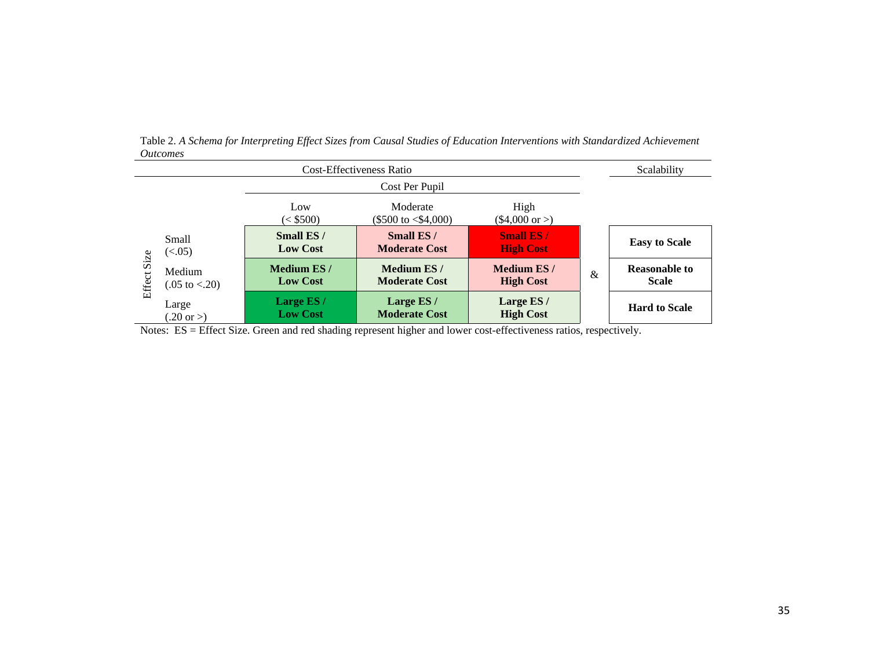|                |                                     |                                      | Scalability                                    |                                       |   |                                      |
|----------------|-------------------------------------|--------------------------------------|------------------------------------------------|---------------------------------------|---|--------------------------------------|
|                |                                     |                                      | Cost Per Pupil                                 |                                       |   |                                      |
|                |                                     | Low<br>(< \$500)                     | Moderate<br>$(\$500 \text{ to } \leq \$4,000)$ | High<br>$($4,000 \text{ or } )$       |   |                                      |
|                | Small<br>(<.05)                     | Small ES /<br><b>Low Cost</b>        | Small ES/<br><b>Moderate Cost</b>              | <b>Small ES/</b><br><b>High Cost</b>  |   | <b>Easy to Scale</b>                 |
| Size<br>Effect | Medium<br>$(.05 \text{ to } < .20)$ | <b>Medium ES/</b><br><b>Low Cost</b> | Medium ES/<br><b>Moderate Cost</b>             | <b>Medium ES/</b><br><b>High Cost</b> | & | <b>Reasonable to</b><br><b>Scale</b> |
|                | Large<br>$20 \text{ or } >$         | Large ES /<br><b>Low Cost</b>        | Large ES /<br><b>Moderate Cost</b>             | Large ES /<br><b>High Cost</b>        |   | <b>Hard to Scale</b>                 |

Table 2. *A Schema for Interpreting Effect Sizes from Causal Studies of Education Interventions with Standardized Achievement Outcomes*

Notes: ES = Effect Size. Green and red shading represent higher and lower cost-effectiveness ratios, respectively.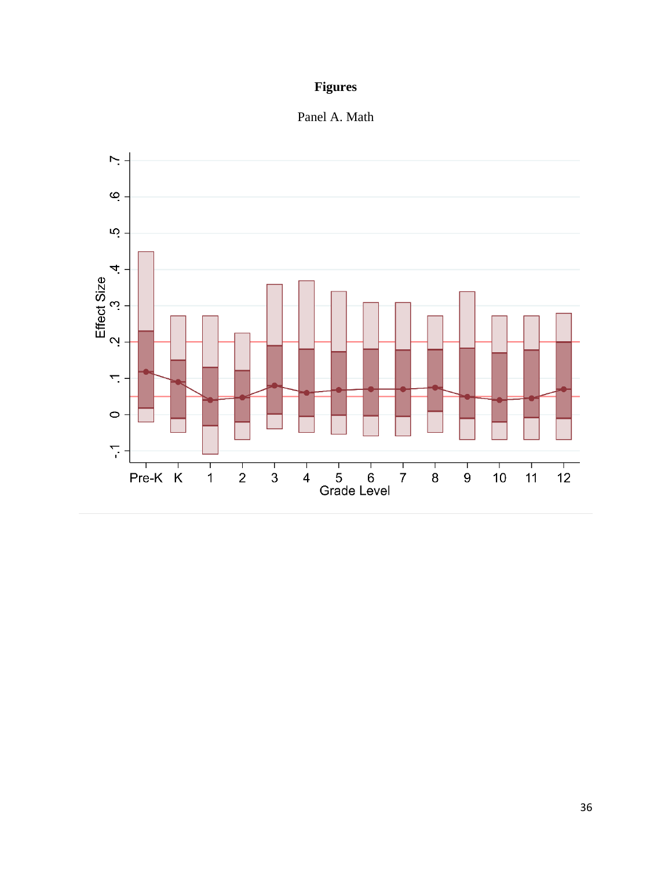# **Figures**

Panel A. Math

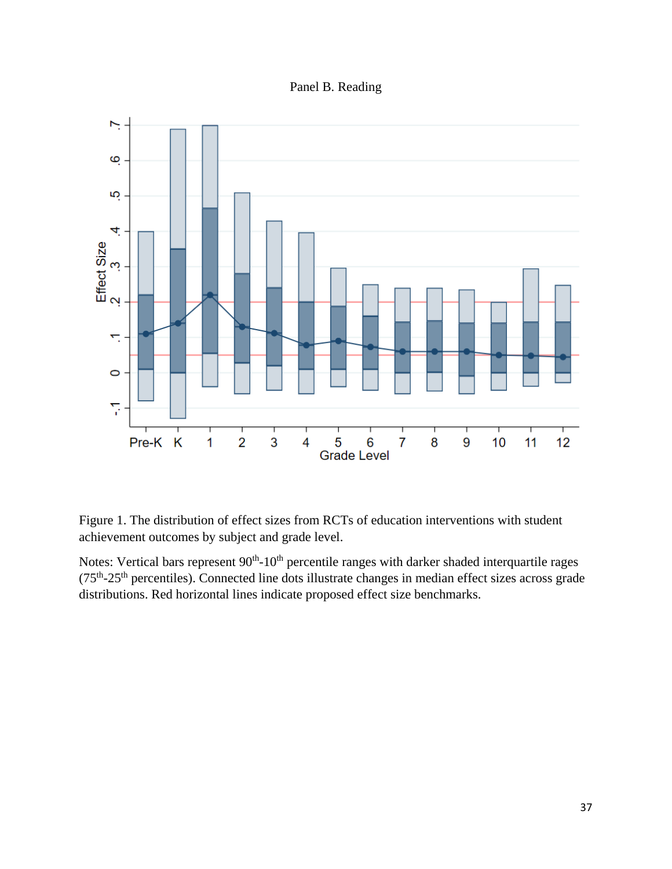Panel B. Reading



Figure 1. The distribution of effect sizes from RCTs of education interventions with student achievement outcomes by subject and grade level.

Notes: Vertical bars represent  $90<sup>th</sup>$ -10<sup>th</sup> percentile ranges with darker shaded interquartile rages (75<sup>th</sup>-25<sup>th</sup> percentiles). Connected line dots illustrate changes in median effect sizes across grade distributions. Red horizontal lines indicate proposed effect size benchmarks.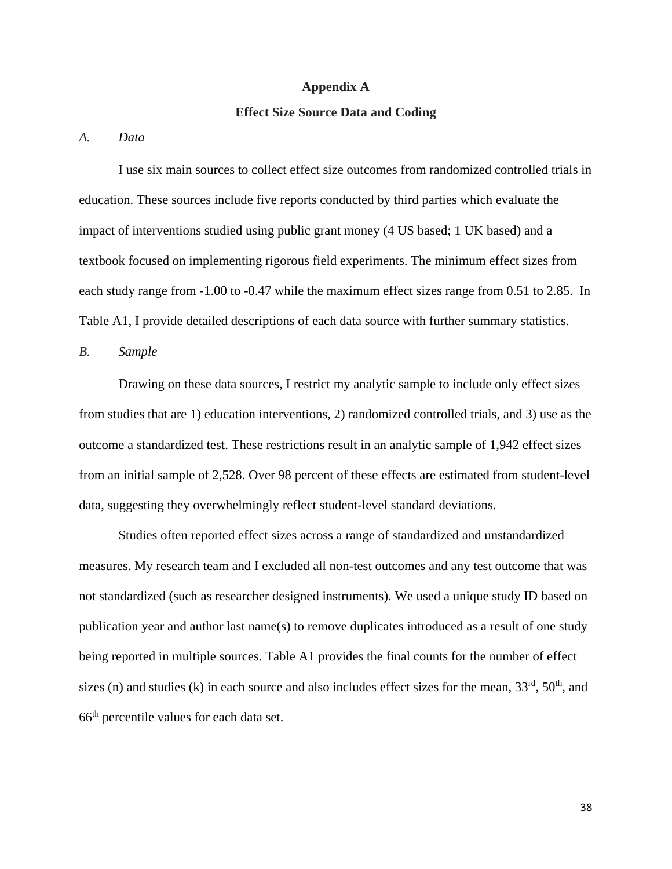#### **Appendix A**

#### **Effect Size Source Data and Coding**

*A. Data*

I use six main sources to collect effect size outcomes from randomized controlled trials in education. These sources include five reports conducted by third parties which evaluate the impact of interventions studied using public grant money (4 US based; 1 UK based) and a textbook focused on implementing rigorous field experiments. The minimum effect sizes from each study range from -1.00 to -0.47 while the maximum effect sizes range from 0.51 to 2.85. In Table A1, I provide detailed descriptions of each data source with further summary statistics.

*B. Sample*

Drawing on these data sources, I restrict my analytic sample to include only effect sizes from studies that are 1) education interventions, 2) randomized controlled trials, and 3) use as the outcome a standardized test. These restrictions result in an analytic sample of 1,942 effect sizes from an initial sample of 2,528. Over 98 percent of these effects are estimated from student-level data, suggesting they overwhelmingly reflect student-level standard deviations.

Studies often reported effect sizes across a range of standardized and unstandardized measures. My research team and I excluded all non-test outcomes and any test outcome that was not standardized (such as researcher designed instruments). We used a unique study ID based on publication year and author last name(s) to remove duplicates introduced as a result of one study being reported in multiple sources. Table A1 provides the final counts for the number of effect sizes (n) and studies (k) in each source and also includes effect sizes for the mean,  $33<sup>rd</sup>$ ,  $50<sup>th</sup>$ , and 66th percentile values for each data set.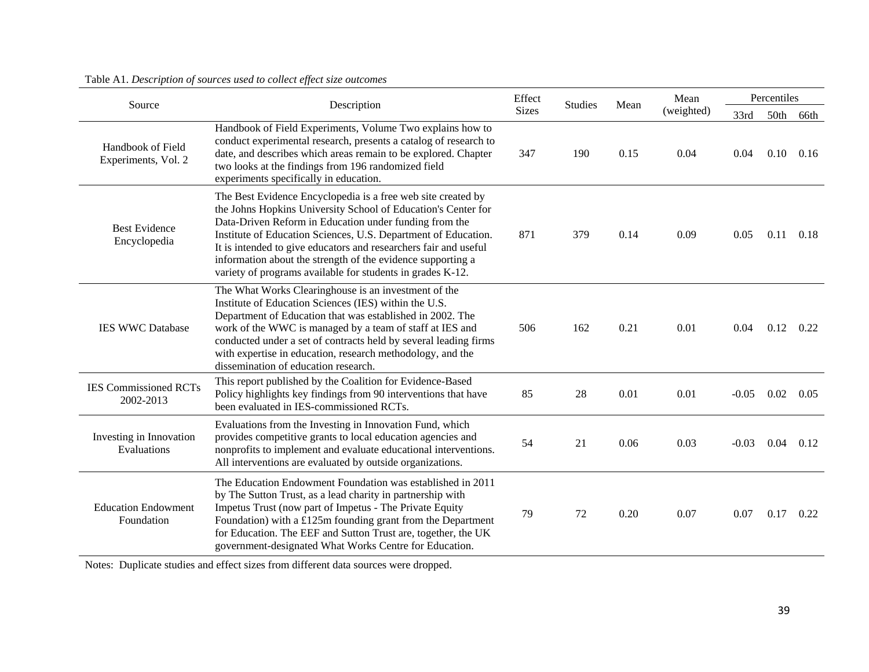| Source                                    | Description                                                                                                                                                                                                                                                                                                                                                                                                                                                | Effect       | <b>Studies</b> | Mean | Mean       | Percentiles |      |      |  |
|-------------------------------------------|------------------------------------------------------------------------------------------------------------------------------------------------------------------------------------------------------------------------------------------------------------------------------------------------------------------------------------------------------------------------------------------------------------------------------------------------------------|--------------|----------------|------|------------|-------------|------|------|--|
|                                           |                                                                                                                                                                                                                                                                                                                                                                                                                                                            | <b>Sizes</b> |                |      | (weighted) | 33rd        | 50th | 66th |  |
| Handbook of Field<br>Experiments, Vol. 2  | Handbook of Field Experiments, Volume Two explains how to<br>conduct experimental research, presents a catalog of research to<br>date, and describes which areas remain to be explored. Chapter<br>two looks at the findings from 196 randomized field<br>experiments specifically in education.                                                                                                                                                           | 347          | 190            | 0.15 | 0.04       | 0.04        | 0.10 | 0.16 |  |
| <b>Best Evidence</b><br>Encyclopedia      | The Best Evidence Encyclopedia is a free web site created by<br>the Johns Hopkins University School of Education's Center for<br>Data-Driven Reform in Education under funding from the<br>Institute of Education Sciences, U.S. Department of Education.<br>It is intended to give educators and researchers fair and useful<br>information about the strength of the evidence supporting a<br>variety of programs available for students in grades K-12. | 871          | 379            | 0.14 | 0.09       | 0.05        | 0.11 | 0.18 |  |
| <b>IES WWC Database</b>                   | The What Works Clearinghouse is an investment of the<br>Institute of Education Sciences (IES) within the U.S.<br>Department of Education that was established in 2002. The<br>work of the WWC is managed by a team of staff at IES and<br>conducted under a set of contracts held by several leading firms<br>with expertise in education, research methodology, and the<br>dissemination of education research.                                           | 506          | 162            | 0.21 | 0.01       | 0.04        | 0.12 | 0.22 |  |
| <b>IES Commissioned RCTs</b><br>2002-2013 | This report published by the Coalition for Evidence-Based<br>Policy highlights key findings from 90 interventions that have<br>been evaluated in IES-commissioned RCTs.                                                                                                                                                                                                                                                                                    | 85           | 28             | 0.01 | 0.01       | $-0.05$     | 0.02 | 0.05 |  |
| Investing in Innovation<br>Evaluations    | Evaluations from the Investing in Innovation Fund, which<br>provides competitive grants to local education agencies and<br>nonprofits to implement and evaluate educational interventions.<br>All interventions are evaluated by outside organizations.                                                                                                                                                                                                    | 54           | 21             | 0.06 | 0.03       | $-0.03$     | 0.04 | 0.12 |  |
| <b>Education Endowment</b><br>Foundation  | The Education Endowment Foundation was established in 2011<br>by The Sutton Trust, as a lead charity in partnership with<br>Impetus Trust (now part of Impetus - The Private Equity<br>Foundation) with a $£125m$ founding grant from the Department<br>for Education. The EEF and Sutton Trust are, together, the UK<br>government-designated What Works Centre for Education.                                                                            | 79           | 72             | 0.20 | 0.07       | 0.07        | 0.17 | 0.22 |  |

Table A1. *Description of sources used to collect effect size outcomes*

Notes: Duplicate studies and effect sizes from different data sources were dropped.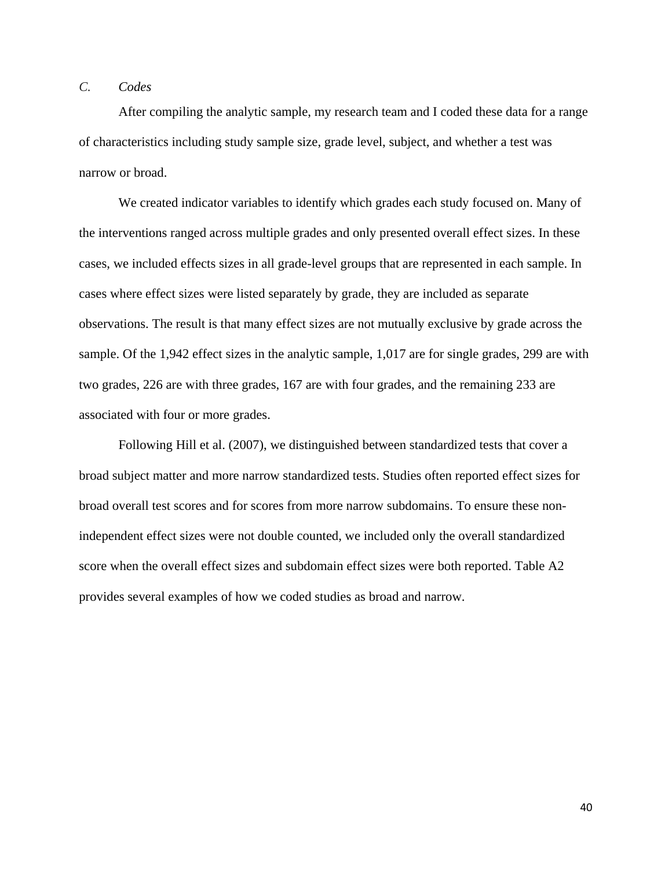# *C. Codes*

After compiling the analytic sample, my research team and I coded these data for a range of characteristics including study sample size, grade level, subject, and whether a test was narrow or broad.

We created indicator variables to identify which grades each study focused on. Many of the interventions ranged across multiple grades and only presented overall effect sizes. In these cases, we included effects sizes in all grade-level groups that are represented in each sample. In cases where effect sizes were listed separately by grade, they are included as separate observations. The result is that many effect sizes are not mutually exclusive by grade across the sample. Of the 1,942 effect sizes in the analytic sample, 1,017 are for single grades, 299 are with two grades, 226 are with three grades, 167 are with four grades, and the remaining 233 are associated with four or more grades.

Following Hill et al. (2007), we distinguished between standardized tests that cover a broad subject matter and more narrow standardized tests. Studies often reported effect sizes for broad overall test scores and for scores from more narrow subdomains. To ensure these nonindependent effect sizes were not double counted, we included only the overall standardized score when the overall effect sizes and subdomain effect sizes were both reported. Table A2 provides several examples of how we coded studies as broad and narrow.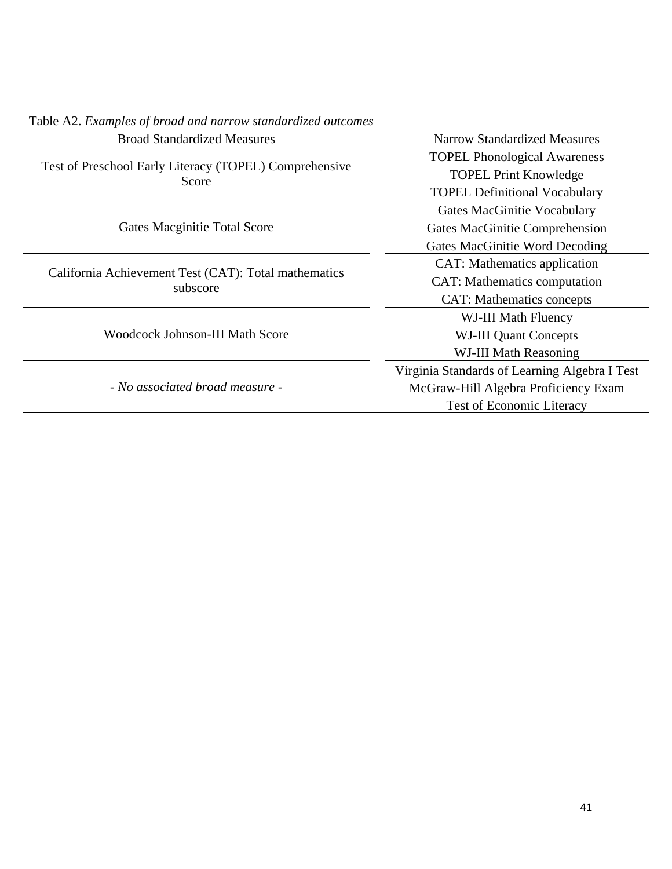| <b>Broad Standardized Measures</b>                               | <b>Narrow Standardized Measures</b>           |  |  |  |  |  |
|------------------------------------------------------------------|-----------------------------------------------|--|--|--|--|--|
|                                                                  | <b>TOPEL Phonological Awareness</b>           |  |  |  |  |  |
| Test of Preschool Early Literacy (TOPEL) Comprehensive<br>Score  | <b>TOPEL Print Knowledge</b>                  |  |  |  |  |  |
|                                                                  | <b>TOPEL Definitional Vocabulary</b>          |  |  |  |  |  |
|                                                                  | Gates MacGinitie Vocabulary                   |  |  |  |  |  |
| Gates Macginitie Total Score                                     | Gates MacGinitie Comprehension                |  |  |  |  |  |
|                                                                  | Gates MacGinitie Word Decoding                |  |  |  |  |  |
|                                                                  | CAT: Mathematics application                  |  |  |  |  |  |
| California Achievement Test (CAT): Total mathematics<br>subscore | CAT: Mathematics computation                  |  |  |  |  |  |
|                                                                  | <b>CAT:</b> Mathematics concepts              |  |  |  |  |  |
|                                                                  | WJ-III Math Fluency                           |  |  |  |  |  |
| <b>Woodcock Johnson-III Math Score</b>                           | <b>WJ-III Quant Concepts</b>                  |  |  |  |  |  |
|                                                                  | WJ-III Math Reasoning                         |  |  |  |  |  |
|                                                                  | Virginia Standards of Learning Algebra I Test |  |  |  |  |  |
| - No associated broad measure -                                  | McGraw-Hill Algebra Proficiency Exam          |  |  |  |  |  |
|                                                                  | <b>Test of Economic Literacy</b>              |  |  |  |  |  |

Table A2. *Examples of broad and narrow standardized outcomes*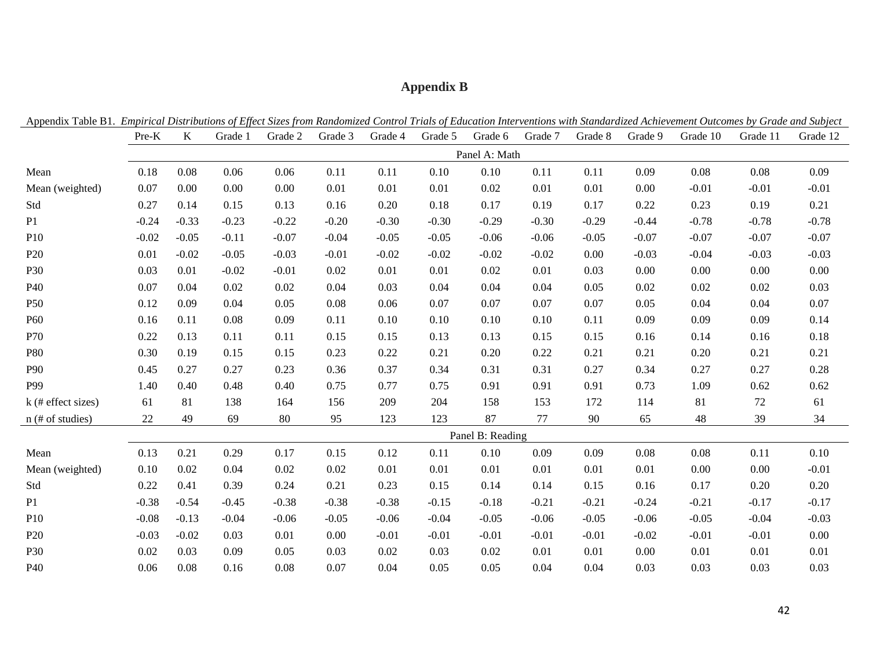# **Appendix B**

| Appendix 1able B1. Empirical Distributions of Effect Sizes from Randomized Control Trials of Education Interventions with Standardized Achievement Outcomes by Grade and Subject |         |         |         |         |         |         |         |                  |         |         |         |          |          |          |
|----------------------------------------------------------------------------------------------------------------------------------------------------------------------------------|---------|---------|---------|---------|---------|---------|---------|------------------|---------|---------|---------|----------|----------|----------|
|                                                                                                                                                                                  | Pre-K   | K       | Grade 1 | Grade 2 | Grade 3 | Grade 4 | Grade 5 | Grade 6          | Grade 7 | Grade 8 | Grade 9 | Grade 10 | Grade 11 | Grade 12 |
|                                                                                                                                                                                  |         |         |         |         |         |         |         | Panel A: Math    |         |         |         |          |          |          |
| Mean                                                                                                                                                                             | 0.18    | 0.08    | 0.06    | 0.06    | 0.11    | 0.11    | 0.10    | 0.10             | 0.11    | 0.11    | 0.09    | 0.08     | 0.08     | 0.09     |
| Mean (weighted)                                                                                                                                                                  | 0.07    | 0.00    | 0.00    | 0.00    | 0.01    | 0.01    | 0.01    | 0.02             | 0.01    | 0.01    | 0.00    | $-0.01$  | $-0.01$  | $-0.01$  |
| Std                                                                                                                                                                              | 0.27    | 0.14    | 0.15    | 0.13    | 0.16    | 0.20    | 0.18    | 0.17             | 0.19    | 0.17    | 0.22    | 0.23     | 0.19     | 0.21     |
| P1                                                                                                                                                                               | $-0.24$ | $-0.33$ | $-0.23$ | $-0.22$ | $-0.20$ | $-0.30$ | $-0.30$ | $-0.29$          | $-0.30$ | $-0.29$ | $-0.44$ | $-0.78$  | $-0.78$  | $-0.78$  |
| P10                                                                                                                                                                              | $-0.02$ | $-0.05$ | $-0.11$ | $-0.07$ | $-0.04$ | $-0.05$ | $-0.05$ | $-0.06$          | $-0.06$ | $-0.05$ | $-0.07$ | $-0.07$  | $-0.07$  | $-0.07$  |
| P <sub>20</sub>                                                                                                                                                                  | 0.01    | $-0.02$ | $-0.05$ | $-0.03$ | $-0.01$ | $-0.02$ | $-0.02$ | $-0.02$          | $-0.02$ | 0.00    | $-0.03$ | $-0.04$  | $-0.03$  | $-0.03$  |
| P30                                                                                                                                                                              | 0.03    | 0.01    | $-0.02$ | $-0.01$ | 0.02    | 0.01    | 0.01    | 0.02             | 0.01    | 0.03    | 0.00    | 0.00     | 0.00     | 0.00     |
| P40                                                                                                                                                                              | 0.07    | 0.04    | 0.02    | 0.02    | 0.04    | 0.03    | 0.04    | 0.04             | 0.04    | 0.05    | 0.02    | 0.02     | 0.02     | 0.03     |
| P <sub>50</sub>                                                                                                                                                                  | 0.12    | 0.09    | 0.04    | 0.05    | 0.08    | 0.06    | 0.07    | 0.07             | 0.07    | 0.07    | 0.05    | 0.04     | 0.04     | 0.07     |
| P <sub>60</sub>                                                                                                                                                                  | 0.16    | 0.11    | 0.08    | 0.09    | 0.11    | 0.10    | 0.10    | 0.10             | 0.10    | 0.11    | 0.09    | 0.09     | 0.09     | 0.14     |
| P70                                                                                                                                                                              | 0.22    | 0.13    | 0.11    | 0.11    | 0.15    | 0.15    | 0.13    | 0.13             | 0.15    | 0.15    | 0.16    | 0.14     | 0.16     | 0.18     |
| P80                                                                                                                                                                              | 0.30    | 0.19    | 0.15    | 0.15    | 0.23    | 0.22    | 0.21    | 0.20             | 0.22    | 0.21    | 0.21    | 0.20     | 0.21     | 0.21     |
| P90                                                                                                                                                                              | 0.45    | 0.27    | 0.27    | 0.23    | 0.36    | 0.37    | 0.34    | 0.31             | 0.31    | 0.27    | 0.34    | 0.27     | 0.27     | 0.28     |
| P99                                                                                                                                                                              | 1.40    | 0.40    | 0.48    | 0.40    | 0.75    | 0.77    | 0.75    | 0.91             | 0.91    | 0.91    | 0.73    | 1.09     | 0.62     | 0.62     |
| $k$ (# effect sizes)                                                                                                                                                             | 61      | 81      | 138     | 164     | 156     | 209     | 204     | 158              | 153     | 172     | 114     | 81       | 72       | 61       |
| $n$ (# of studies)                                                                                                                                                               | 22      | 49      | 69      | 80      | 95      | 123     | 123     | 87               | 77      | 90      | 65      | 48       | 39       | 34       |
|                                                                                                                                                                                  |         |         |         |         |         |         |         | Panel B: Reading |         |         |         |          |          |          |
| Mean                                                                                                                                                                             | 0.13    | 0.21    | 0.29    | 0.17    | 0.15    | 0.12    | 0.11    | 0.10             | 0.09    | 0.09    | 0.08    | 0.08     | 0.11     | 0.10     |
| Mean (weighted)                                                                                                                                                                  | 0.10    | 0.02    | 0.04    | 0.02    | 0.02    | 0.01    | 0.01    | 0.01             | 0.01    | 0.01    | 0.01    | 0.00     | 0.00     | $-0.01$  |
| Std                                                                                                                                                                              | 0.22    | 0.41    | 0.39    | 0.24    | 0.21    | 0.23    | 0.15    | 0.14             | 0.14    | 0.15    | 0.16    | 0.17     | 0.20     | 0.20     |
| P1                                                                                                                                                                               | $-0.38$ | $-0.54$ | $-0.45$ | $-0.38$ | $-0.38$ | $-0.38$ | $-0.15$ | $-0.18$          | $-0.21$ | $-0.21$ | $-0.24$ | $-0.21$  | $-0.17$  | $-0.17$  |
| P10                                                                                                                                                                              | $-0.08$ | $-0.13$ | $-0.04$ | $-0.06$ | $-0.05$ | $-0.06$ | $-0.04$ | $-0.05$          | $-0.06$ | $-0.05$ | $-0.06$ | $-0.05$  | $-0.04$  | $-0.03$  |
| P <sub>20</sub>                                                                                                                                                                  | $-0.03$ | $-0.02$ | 0.03    | 0.01    | 0.00    | $-0.01$ | $-0.01$ | $-0.01$          | $-0.01$ | $-0.01$ | $-0.02$ | $-0.01$  | $-0.01$  | 0.00     |
| P30                                                                                                                                                                              | 0.02    | 0.03    | 0.09    | 0.05    | 0.03    | 0.02    | 0.03    | 0.02             | 0.01    | 0.01    | 0.00    | 0.01     | 0.01     | 0.01     |
| P40                                                                                                                                                                              | 0.06    | 0.08    | 0.16    | 0.08    | 0.07    | 0.04    | 0.05    | 0.05             | 0.04    | 0.04    | 0.03    | 0.03     | 0.03     | 0.03     |

Appendix Table B1. *Empirical Distributions of Effect Sizes from Randomized Control Trials of Education Interventions with Standardized Achievement Outcomes by Grade and Subject*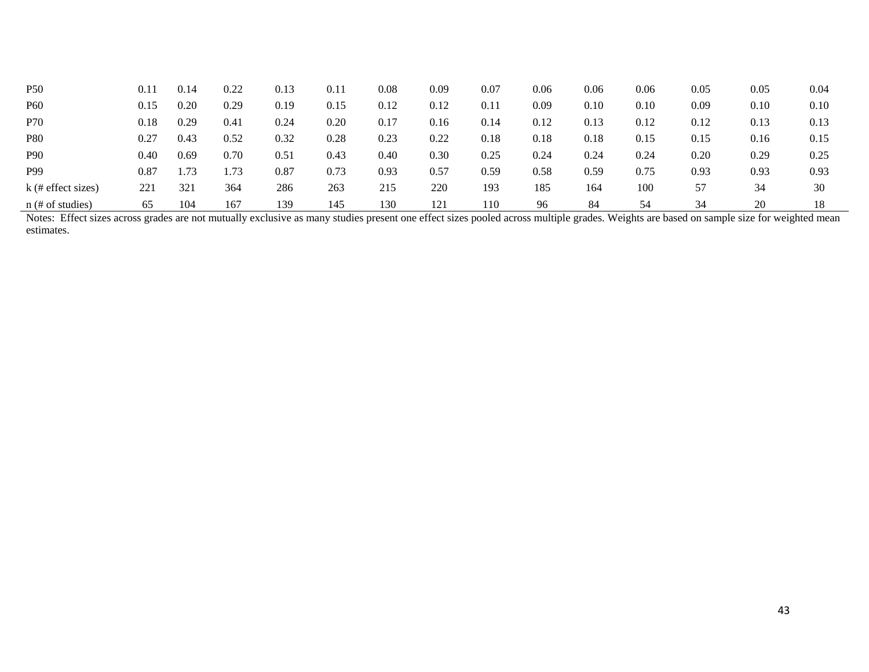| <b>P50</b>           | 0.11       | 0.14 | 0.22 | 0.13 | 0.11 | 0.08     | 0.09 | 0.07 | 0.06 | 0.06 | 0.06 | 0.05 | 0.05 | 0.04 |
|----------------------|------------|------|------|------|------|----------|------|------|------|------|------|------|------|------|
| <b>P60</b>           | 0.15       | 0.20 | 0.29 | 0.19 | 0.15 | 0.12     | 0.12 | 0.11 | 0.09 | 0.10 | 0.10 | 0.09 | 0.10 | 0.10 |
| <b>P70</b>           | 0.18       | 0.29 | 0.41 | 0.24 | 0.20 | $0.17\,$ | 0.16 | 0.14 | 0.12 | 0.13 | 0.12 | 0.12 | 0.13 | 0.13 |
| <b>P80</b>           | 0.27       | 0.43 | 0.52 | 0.32 | 0.28 | 0.23     | 0.22 | 0.18 | 0.18 | 0.18 | 0.15 | 0.15 | 0.16 | 0.15 |
| <b>P90</b>           | 0.40       | 0.69 | 0.70 | 0.51 | 0.43 | 0.40     | 0.30 | 0.25 | 0.24 | 0.24 | 0.24 | 0.20 | 0.29 | 0.25 |
| P99                  | $\rm 0.87$ |      | 1.73 | 0.87 | 0.73 | 0.93     | 0.57 | 0.59 | 0.58 | 0.59 | 0.75 | 0.93 | 0.93 | 0.93 |
| $k$ (# effect sizes) | 221        | 321  | 364  | 286  | 263  | 215      | 220  | 193  | 185  | 164  | 100  | 57   | 34   | 30   |
| $n$ (# of studies)   | 65         | 104  | 167  | 139  | 145  | 130      | 121  | 110  | 96   | 84   | 54   | 34   | 20   | 18   |

Notes: Effect sizes across grades are not mutually exclusive as many studies present one effect sizes pooled across multiple grades. Weights are based on sample size for weighted mean estimates.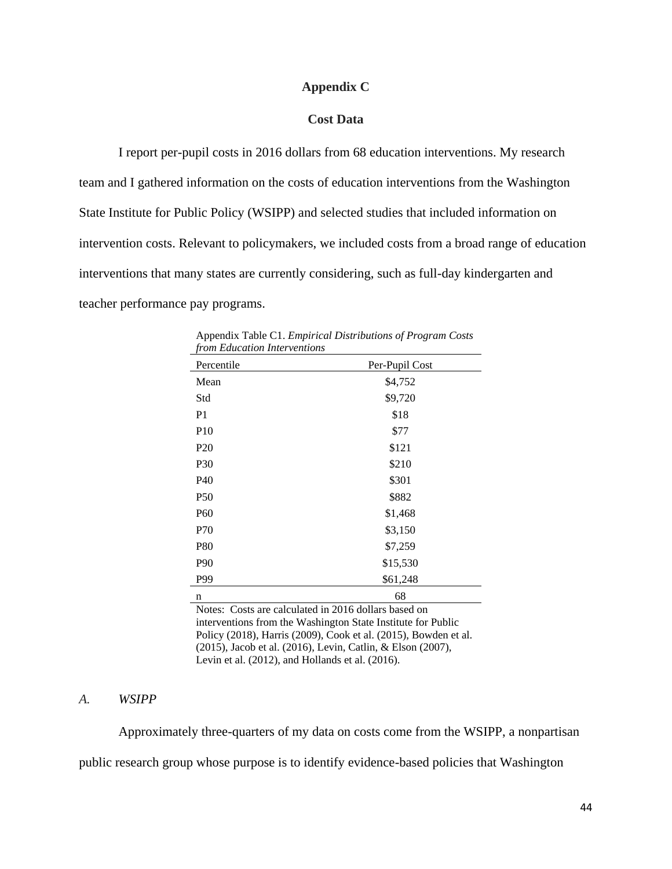#### **Appendix C**

#### **Cost Data**

I report per-pupil costs in 2016 dollars from 68 education interventions. My research team and I gathered information on the costs of education interventions from the Washington State Institute for Public Policy (WSIPP) and selected studies that included information on intervention costs. Relevant to policymakers, we included costs from a broad range of education interventions that many states are currently considering, such as full-day kindergarten and teacher performance pay programs.

| from Eaucation Interventions |                |  |
|------------------------------|----------------|--|
| Percentile                   | Per-Pupil Cost |  |
| Mean                         | \$4,752        |  |
| Std                          | \$9,720        |  |
| P <sub>1</sub>               | \$18           |  |
| <b>P10</b>                   | \$77           |  |
| P <sub>20</sub>              | \$121          |  |
| P30                          | \$210          |  |
| P40                          | \$301          |  |
| P <sub>50</sub>              | \$882          |  |
| P <sub>60</sub>              | \$1,468        |  |
| P70                          | \$3,150        |  |
| P80                          | \$7,259        |  |
| P90                          | \$15,530       |  |
| P99                          | \$61,248       |  |
| n                            | 68             |  |

Appendix Table C1. *Empirical Distributions of Program Costs from Education Interventions*

Notes: Costs are calculated in 2016 dollars based on interventions from the Washington State Institute for Public Policy (2018), Harris (2009), Cook et al. (2015), Bowden et al. (2015), Jacob et al. (2016), Levin, Catlin, & Elson (2007), Levin et al. (2012), and Hollands et al. (2016).

#### *A. WSIPP*

Approximately three-quarters of my data on costs come from the WSIPP, a nonpartisan public research group whose purpose is to identify evidence-based policies that Washington